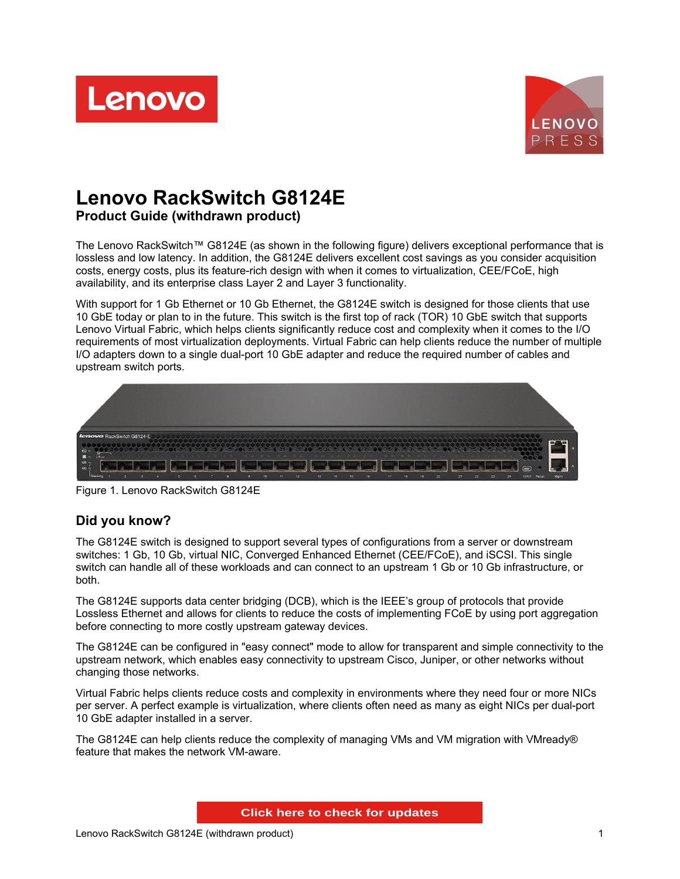



# **Lenovo RackSwitch G8124E**

**Product Guide (withdrawn product)**

The Lenovo RackSwitch™ G8124E (as shown in the following figure) delivers exceptional performance that is lossless and low latency. In addition, the G8124E delivers excellent cost savings as you consider acquisition costs, energy costs, plus its feature-rich design with when it comes to virtualization, CEE/FCoE, high availability, and its enterprise class Layer 2 and Layer 3 functionality.

With support for 1 Gb Ethernet or 10 Gb Ethernet, the G8124E switch is designed for those clients that use 10 GbE today or plan to in the future. This switch is the first top of rack (TOR) 10 GbE switch that supports Lenovo Virtual Fabric, which helps clients significantly reduce cost and complexity when it comes to the I/O requirements of most virtualization deployments. Virtual Fabric can help clients reduce the number of multiple I/O adapters down to a single dual-port 10 GbE adapter and reduce the required number of cables and upstream switch ports.



Figure 1. Lenovo RackSwitch G8124E

## **Did you know?**

The G8124E switch is designed to support several types of configurations from a server or downstream switches: 1 Gb, 10 Gb, virtual NIC, Converged Enhanced Ethernet (CEE/FCoE), and iSCSI. This single switch can handle all of these workloads and can connect to an upstream 1 Gb or 10 Gb infrastructure, or both.

The G8124E supports data center bridging (DCB), which is the IEEE's group of protocols that provide Lossless Ethernet and allows for clients to reduce the costs of implementing FCoE by using port aggregation before connecting to more costly upstream gateway devices.

The G8124E can be configured in "easy connect" mode to allow for transparent and simple connectivity to the upstream network, which enables easy connectivity to upstream Cisco, Juniper, or other networks without changing those networks.

Virtual Fabric helps clients reduce costs and complexity in environments where they need four or more NICs per server. A perfect example is virtualization, where clients often need as many as eight NICs per dual-port 10 GbE adapter installed in a server.

The G8124E can help clients reduce the complexity of managing VMs and VM migration with VMready® feature that makes the network VM-aware.

**Click here to check for updates**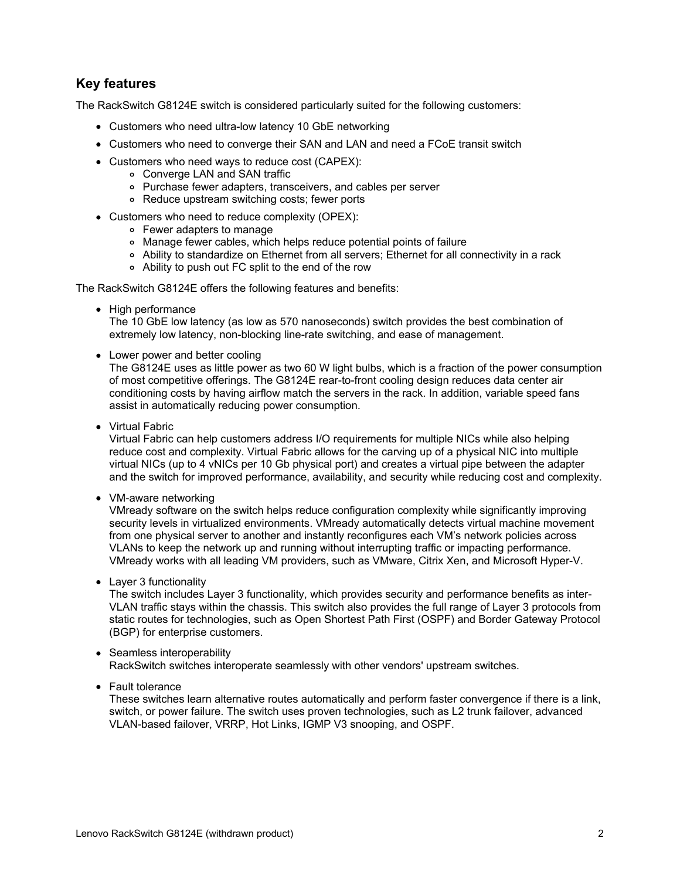## **Key features**

The RackSwitch G8124E switch is considered particularly suited for the following customers:

- Customers who need ultra-low latency 10 GbE networking
- Customers who need to converge their SAN and LAN and need a FCoE transit switch
- Customers who need ways to reduce cost (CAPEX):
	- Converge LAN and SAN traffic
		- Purchase fewer adapters, transceivers, and cables per server
		- Reduce upstream switching costs; fewer ports
- Customers who need to reduce complexity (OPEX):
	- Fewer adapters to manage
		- Manage fewer cables, which helps reduce potential points of failure
		- Ability to standardize on Ethernet from all servers; Ethernet for all connectivity in a rack
		- Ability to push out FC split to the end of the row

The RackSwitch G8124E offers the following features and benefits:

• High performance

The 10 GbE low latency (as low as 570 nanoseconds) switch provides the best combination of extremely low latency, non-blocking line-rate switching, and ease of management.

• Lower power and better cooling

The G8124E uses as little power as two 60 W light bulbs, which is a fraction of the power consumption of most competitive offerings. The G8124E rear-to-front cooling design reduces data center air conditioning costs by having airflow match the servers in the rack. In addition, variable speed fans assist in automatically reducing power consumption.

• Virtual Fabric

Virtual Fabric can help customers address I/O requirements for multiple NICs while also helping reduce cost and complexity. Virtual Fabric allows for the carving up of a physical NIC into multiple virtual NICs (up to 4 vNICs per 10 Gb physical port) and creates a virtual pipe between the adapter and the switch for improved performance, availability, and security while reducing cost and complexity.

• VM-aware networking

VMready software on the switch helps reduce configuration complexity while significantly improving security levels in virtualized environments. VMready automatically detects virtual machine movement from one physical server to another and instantly reconfigures each VM's network policies across VLANs to keep the network up and running without interrupting traffic or impacting performance. VMready works with all leading VM providers, such as VMware, Citrix Xen, and Microsoft Hyper-V.

• Layer 3 functionality

The switch includes Layer 3 functionality, which provides security and performance benefits as inter-VLAN traffic stays within the chassis. This switch also provides the full range of Layer 3 protocols from static routes for technologies, such as Open Shortest Path First (OSPF) and Border Gateway Protocol (BGP) for enterprise customers.

#### • Seamless interoperability RackSwitch switches interoperate seamlessly with other vendors' upstream switches.

Fault tolerance

These switches learn alternative routes automatically and perform faster convergence if there is a link, switch, or power failure. The switch uses proven technologies, such as L2 trunk failover, advanced VLAN-based failover, VRRP, Hot Links, IGMP V3 snooping, and OSPF.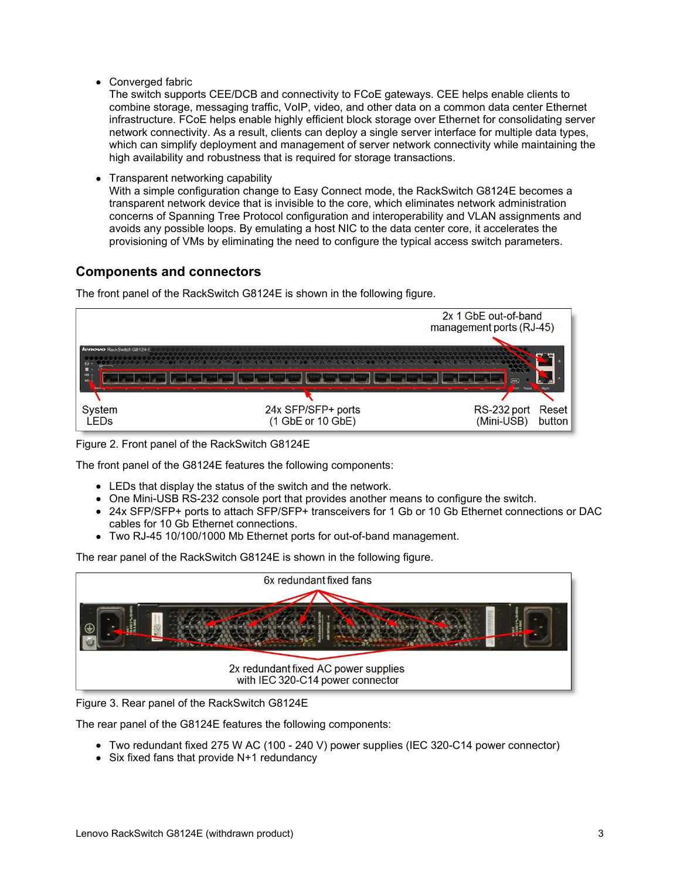• Converged fabric

The switch supports CEE/DCB and connectivity to FCoE gateways. CEE helps enable clients to combine storage, messaging traffic, VoIP, video, and other data on a common data center Ethernet infrastructure. FCoE helps enable highly efficient block storage over Ethernet for consolidating server network connectivity. As a result, clients can deploy a single server interface for multiple data types, which can simplify deployment and management of server network connectivity while maintaining the high availability and robustness that is required for storage transactions.

Transparent networking capability

With a simple configuration change to Easy Connect mode, the RackSwitch G8124E becomes a transparent network device that is invisible to the core, which eliminates network administration concerns of Spanning Tree Protocol configuration and interoperability and VLAN assignments and avoids any possible loops. By emulating a host NIC to the data center core, it accelerates the provisioning of VMs by eliminating the need to configure the typical access switch parameters.

## **Components and connectors**

The front panel of the RackSwitch G8124E is shown in the following figure.



Figure 2. Front panel of the RackSwitch G8124E

The front panel of the G8124E features the following components:

- LEDs that display the status of the switch and the network.
- One Mini-USB RS-232 console port that provides another means to configure the switch.
- 24x SFP/SFP+ ports to attach SFP/SFP+ transceivers for 1 Gb or 10 Gb Ethernet connections or DAC cables for 10 Gb Ethernet connections.
- Two RJ-45 10/100/1000 Mb Ethernet ports for out-of-band management.

The rear panel of the RackSwitch G8124E is shown in the following figure.



Figure 3. Rear panel of the RackSwitch G8124E

The rear panel of the G8124E features the following components:

- Two redundant fixed 275 W AC (100 240 V) power supplies (IEC 320-C14 power connector)
- Six fixed fans that provide N+1 redundancy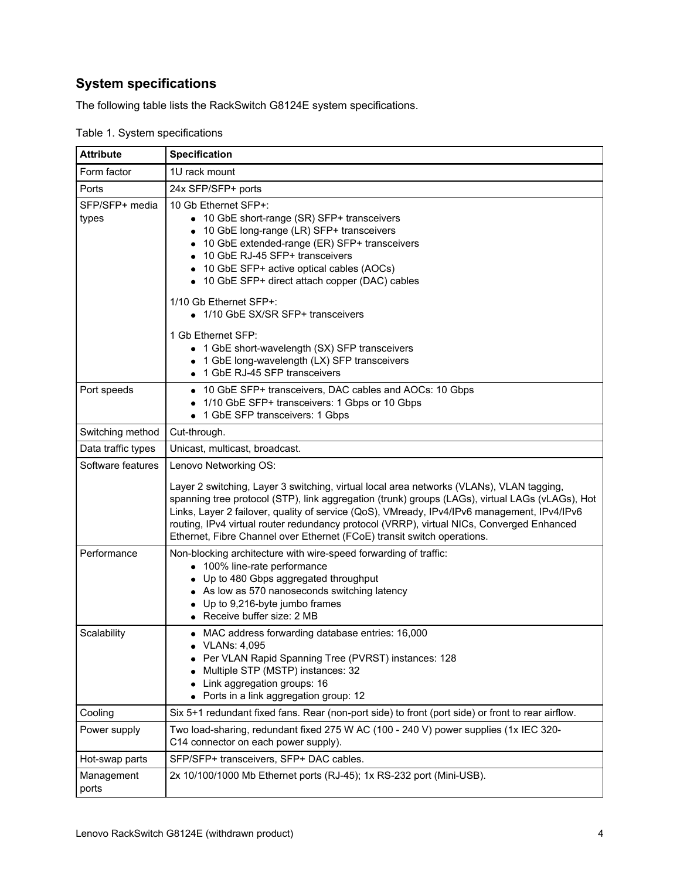## **System specifications**

The following table lists the RackSwitch G8124E system specifications.

| <b>Attribute</b>        | <b>Specification</b>                                                                                                                                                                                                                                                                                                                                                                                                                                               |
|-------------------------|--------------------------------------------------------------------------------------------------------------------------------------------------------------------------------------------------------------------------------------------------------------------------------------------------------------------------------------------------------------------------------------------------------------------------------------------------------------------|
| Form factor             | 1U rack mount                                                                                                                                                                                                                                                                                                                                                                                                                                                      |
| Ports                   | 24x SFP/SFP+ ports                                                                                                                                                                                                                                                                                                                                                                                                                                                 |
| SFP/SFP+ media<br>types | 10 Gb Ethernet SFP+:<br>• 10 GbE short-range (SR) SFP+ transceivers<br>10 GbE long-range (LR) SFP+ transceivers<br>10 GbE extended-range (ER) SFP+ transceivers<br>10 GbE RJ-45 SFP+ transceivers<br>10 GbE SFP+ active optical cables (AOCs)<br>• 10 GbE SFP+ direct attach copper (DAC) cables                                                                                                                                                                   |
|                         | 1/10 Gb Ethernet SFP+:<br>• 1/10 GbE SX/SR SFP+ transceivers<br>1 Gb Ethernet SFP:                                                                                                                                                                                                                                                                                                                                                                                 |
|                         | • 1 GbE short-wavelength (SX) SFP transceivers<br>• 1 GbE long-wavelength (LX) SFP transceivers<br>• 1 GbE RJ-45 SFP transceivers                                                                                                                                                                                                                                                                                                                                  |
| Port speeds             | • 10 GbE SFP+ transceivers, DAC cables and AOCs: 10 Gbps<br>1/10 GbE SFP+ transceivers: 1 Gbps or 10 Gbps<br>• 1 GbE SFP transceivers: 1 Gbps                                                                                                                                                                                                                                                                                                                      |
| Switching method        | Cut-through.                                                                                                                                                                                                                                                                                                                                                                                                                                                       |
| Data traffic types      | Unicast, multicast, broadcast.                                                                                                                                                                                                                                                                                                                                                                                                                                     |
| Software features       | Lenovo Networking OS:                                                                                                                                                                                                                                                                                                                                                                                                                                              |
|                         | Layer 2 switching, Layer 3 switching, virtual local area networks (VLANs), VLAN tagging,<br>spanning tree protocol (STP), link aggregation (trunk) groups (LAGs), virtual LAGs (vLAGs), Hot<br>Links, Layer 2 failover, quality of service (QoS), VMready, IPv4/IPv6 management, IPv4/IPv6<br>routing, IPv4 virtual router redundancy protocol (VRRP), virtual NICs, Converged Enhanced<br>Ethernet, Fibre Channel over Ethernet (FCoE) transit switch operations. |
| Performance             | Non-blocking architecture with wire-speed forwarding of traffic:<br>• 100% line-rate performance<br>• Up to 480 Gbps aggregated throughput<br>• As low as 570 nanoseconds switching latency<br>Up to 9,216-byte jumbo frames<br>• Receive buffer size: 2 MB                                                                                                                                                                                                        |
| Scalability             | • MAC address forwarding database entries: 16,000<br>VLANs: 4,095<br>Per VLAN Rapid Spanning Tree (PVRST) instances: 128<br>Multiple STP (MSTP) instances: 32<br>Link aggregation groups: 16<br>• Ports in a link aggregation group: 12                                                                                                                                                                                                                            |
| Cooling                 | Six 5+1 redundant fixed fans. Rear (non-port side) to front (port side) or front to rear airflow.                                                                                                                                                                                                                                                                                                                                                                  |
| Power supply            | Two load-sharing, redundant fixed 275 W AC (100 - 240 V) power supplies (1x IEC 320-<br>C14 connector on each power supply).                                                                                                                                                                                                                                                                                                                                       |
| Hot-swap parts          | SFP/SFP+ transceivers, SFP+ DAC cables.                                                                                                                                                                                                                                                                                                                                                                                                                            |
| Management<br>ports     | 2x 10/100/1000 Mb Ethernet ports (RJ-45); 1x RS-232 port (Mini-USB).                                                                                                                                                                                                                                                                                                                                                                                               |

Table 1. System specifications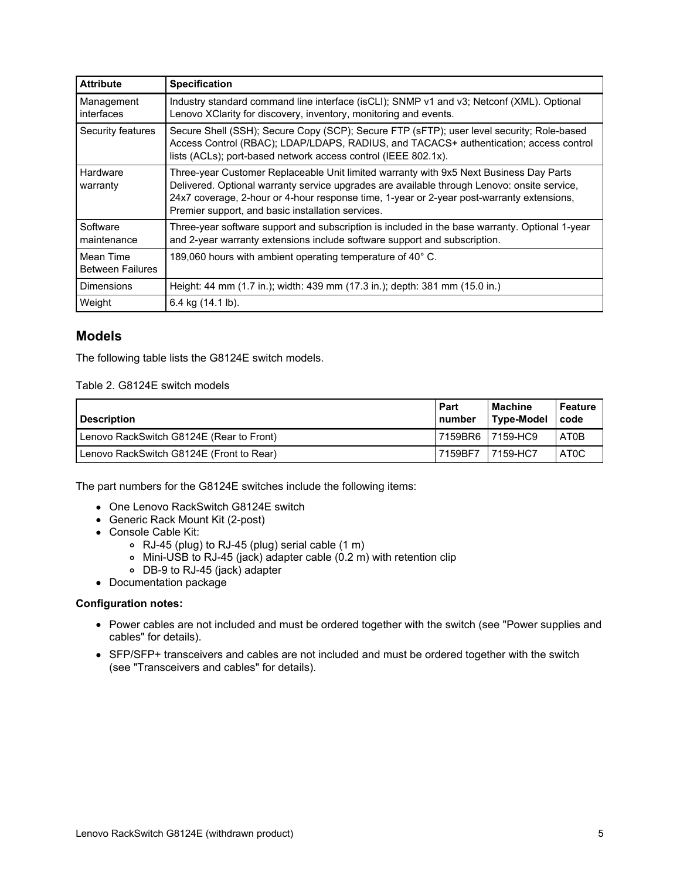| <b>Attribute</b>                     | <b>Specification</b>                                                                                                                                                                                                                                                                                                                    |
|--------------------------------------|-----------------------------------------------------------------------------------------------------------------------------------------------------------------------------------------------------------------------------------------------------------------------------------------------------------------------------------------|
| Management<br>interfaces             | Industry standard command line interface (isCLI); SNMP v1 and v3; Netconf (XML). Optional<br>Lenovo XClarity for discovery, inventory, monitoring and events.                                                                                                                                                                           |
| Security features                    | Secure Shell (SSH); Secure Copy (SCP); Secure FTP (sFTP); user level security; Role-based<br>Access Control (RBAC); LDAP/LDAPS, RADIUS, and TACACS+ authentication; access control<br>lists (ACLs); port-based network access control (IEEE 802.1x).                                                                                    |
| Hardware<br>warranty                 | Three-year Customer Replaceable Unit limited warranty with 9x5 Next Business Day Parts<br>Delivered. Optional warranty service upgrades are available through Lenovo: onsite service,<br>24x7 coverage, 2-hour or 4-hour response time, 1-year or 2-year post-warranty extensions,<br>Premier support, and basic installation services. |
| Software<br>maintenance              | Three-year software support and subscription is included in the base warranty. Optional 1-year<br>and 2-year warranty extensions include software support and subscription.                                                                                                                                                             |
| Mean Time<br><b>Between Failures</b> | 189,060 hours with ambient operating temperature of 40° C.                                                                                                                                                                                                                                                                              |
| <b>Dimensions</b>                    | Height: 44 mm (1.7 in.); width: 439 mm (17.3 in.); depth: 381 mm (15.0 in.)                                                                                                                                                                                                                                                             |
| Weight                               | 6.4 kg (14.1 lb).                                                                                                                                                                                                                                                                                                                       |

## **Models**

The following table lists the G8124E switch models.

Table 2. G8124E switch models

| <b>Description</b>                       | <b>Part</b><br>I number | Machine<br>Type-Model | Feature<br>code   |
|------------------------------------------|-------------------------|-----------------------|-------------------|
| Lenovo RackSwitch G8124E (Rear to Front) | 17159BR6                | 7159-HC9              | AT0B              |
| Lenovo RackSwitch G8124E (Front to Rear) | 7159BF7                 | 7159-HC7              | AT <sub>0</sub> C |

The part numbers for the G8124E switches include the following items:

- One Lenovo RackSwitch G8124E switch
- Generic Rack Mount Kit (2-post)
- Console Cable Kit:
	- RJ-45 (plug) to RJ-45 (plug) serial cable (1 m)
	- Mini-USB to RJ-45 (jack) adapter cable (0.2 m) with retention clip
	- DB-9 to RJ-45 (jack) adapter
- Documentation package

#### **Configuration notes:**

- Power cables are not included and must be ordered together with the switch (see "Power supplies and cables" for details).
- SFP/SFP+ transceivers and cables are not included and must be ordered together with the switch (see "Transceivers and cables" for details).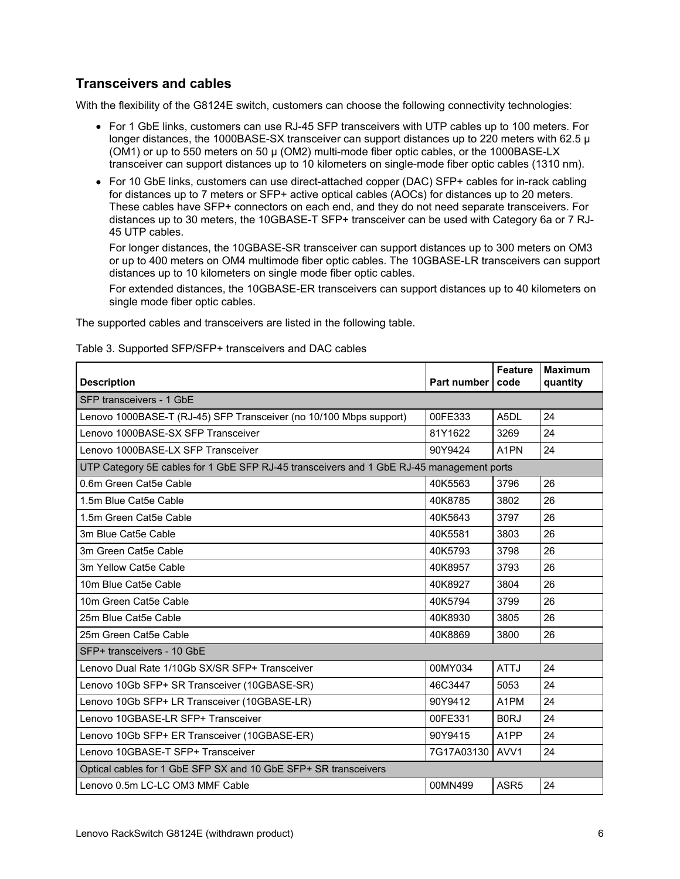## **Transceivers and cables**

With the flexibility of the G8124E switch, customers can choose the following connectivity technologies:

- For 1 GbE links, customers can use RJ-45 SFP transceivers with UTP cables up to 100 meters. For longer distances, the 1000BASE-SX transceiver can support distances up to 220 meters with 62.5  $\mu$ (OM1) or up to 550 meters on 50 µ (OM2) multi-mode fiber optic cables, or the 1000BASE-LX transceiver can support distances up to 10 kilometers on single-mode fiber optic cables (1310 nm).
- For 10 GbE links, customers can use direct-attached copper (DAC) SFP+ cables for in-rack cabling for distances up to 7 meters or SFP+ active optical cables (AOCs) for distances up to 20 meters. These cables have SFP+ connectors on each end, and they do not need separate transceivers. For distances up to 30 meters, the 10GBASE-T SFP+ transceiver can be used with Category 6a or 7 RJ-45 UTP cables.

For longer distances, the 10GBASE-SR transceiver can support distances up to 300 meters on OM3 or up to 400 meters on OM4 multimode fiber optic cables. The 10GBASE-LR transceivers can support distances up to 10 kilometers on single mode fiber optic cables.

For extended distances, the 10GBASE-ER transceivers can support distances up to 40 kilometers on single mode fiber optic cables.

The supported cables and transceivers are listed in the following table.

| <b>Description</b>                                                                       | Part number | <b>Feature</b><br>code | <b>Maximum</b><br>quantity |
|------------------------------------------------------------------------------------------|-------------|------------------------|----------------------------|
| SFP transceivers - 1 GbE                                                                 |             |                        |                            |
| Lenovo 1000BASE-T (RJ-45) SFP Transceiver (no 10/100 Mbps support)                       | 00FE333     | A5DL                   | 24                         |
| Lenovo 1000BASE-SX SFP Transceiver                                                       | 81Y1622     | 3269                   | 24                         |
| Lenovo 1000BASE-LX SFP Transceiver                                                       | 90Y9424     | A <sub>1</sub> PN      | 24                         |
| UTP Category 5E cables for 1 GbE SFP RJ-45 transceivers and 1 GbE RJ-45 management ports |             |                        |                            |
| 0.6m Green Cat5e Cable                                                                   | 40K5563     | 3796                   | 26                         |
| 1.5m Blue Cat5e Cable                                                                    | 40K8785     | 3802                   | 26                         |
| 1.5m Green Cat5e Cable                                                                   | 40K5643     | 3797                   | 26                         |
| 3m Blue Cat5e Cable                                                                      | 40K5581     | 3803                   | 26                         |
| 3m Green Cat5e Cable                                                                     | 40K5793     | 3798                   | 26                         |
| 3m Yellow Cat5e Cable                                                                    | 40K8957     | 3793                   | 26                         |
| 10m Blue Cat5e Cable                                                                     | 40K8927     | 3804                   | 26                         |
| 10m Green Cat5e Cable                                                                    | 40K5794     | 3799                   | 26                         |
| 25m Blue Cat5e Cable                                                                     | 40K8930     | 3805                   | 26                         |
| 25m Green Cat5e Cable                                                                    | 40K8869     | 3800                   | 26                         |
| SFP+ transceivers - 10 GbE                                                               |             |                        |                            |
| Lenovo Dual Rate 1/10Gb SX/SR SFP+ Transceiver                                           | 00MY034     | <b>ATTJ</b>            | 24                         |
| Lenovo 10Gb SFP+ SR Transceiver (10GBASE-SR)                                             | 46C3447     | 5053                   | 24                         |
| Lenovo 10Gb SFP+ LR Transceiver (10GBASE-LR)                                             | 90Y9412     | A <sub>1</sub> PM      | 24                         |
| Lenovo 10GBASE-LR SFP+ Transceiver                                                       | 00FE331     | <b>BORJ</b>            | 24                         |
| Lenovo 10Gb SFP+ ER Transceiver (10GBASE-ER)                                             | 90Y9415     | A <sub>1</sub> PP      | 24                         |
| Lenovo 10GBASE-T SFP+ Transceiver                                                        | 7G17A03130  | AVV <sub>1</sub>       | 24                         |
| Optical cables for 1 GbE SFP SX and 10 GbE SFP+ SR transceivers                          |             |                        |                            |
| Lenovo 0.5m LC-LC OM3 MMF Cable                                                          | 00MN499     | ASR <sub>5</sub>       | 24                         |

Table 3. Supported SFP/SFP+ transceivers and DAC cables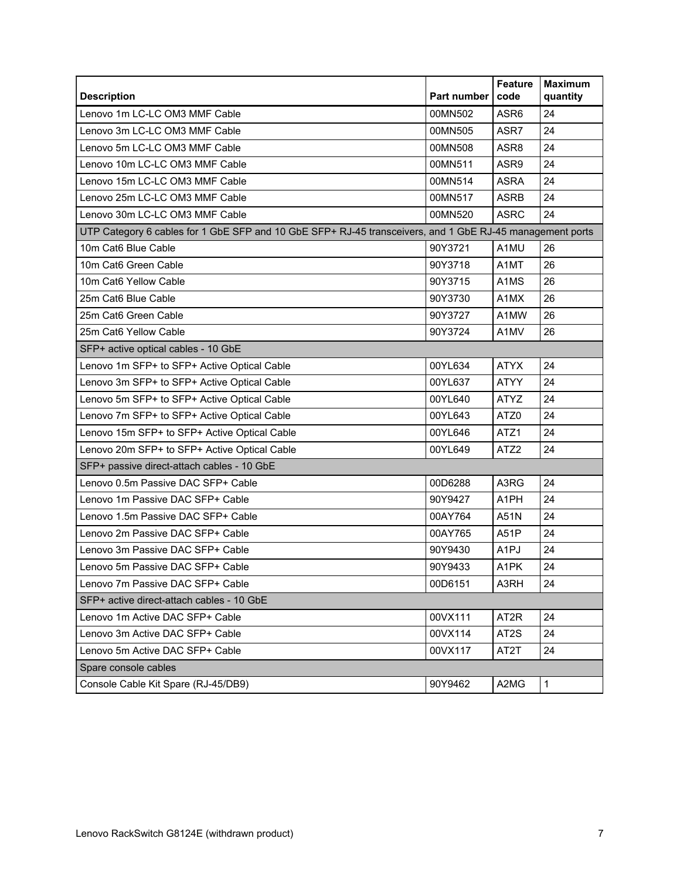| <b>Description</b>                                                                                       | <b>Part number</b> | <b>Feature</b><br>code        | <b>Maximum</b><br>quantity |
|----------------------------------------------------------------------------------------------------------|--------------------|-------------------------------|----------------------------|
| Lenovo 1m LC-LC OM3 MMF Cable                                                                            | 00MN502            | ASR <sub>6</sub>              | 24                         |
| Lenovo 3m LC-LC OM3 MMF Cable                                                                            | 00MN505            | ASR7                          | 24                         |
| Lenovo 5m LC-LC OM3 MMF Cable                                                                            | 00MN508            | ASR8                          | 24                         |
| Lenovo 10m LC-LC OM3 MMF Cable                                                                           | 00MN511            | ASR9                          | 24                         |
| Lenovo 15m LC-LC OM3 MMF Cable                                                                           | 00MN514            | <b>ASRA</b>                   | 24                         |
| Lenovo 25m LC-LC OM3 MMF Cable                                                                           | 00MN517            | <b>ASRB</b>                   | 24                         |
| Lenovo 30m LC-LC OM3 MMF Cable                                                                           | 00MN520            | <b>ASRC</b>                   | 24                         |
| UTP Category 6 cables for 1 GbE SFP and 10 GbE SFP+ RJ-45 transceivers, and 1 GbE RJ-45 management ports |                    |                               |                            |
| 10m Cat6 Blue Cable                                                                                      | 90Y3721            | A1MU                          | 26                         |
| 10m Cat6 Green Cable                                                                                     | 90Y3718            | A1MT                          | 26                         |
| 10m Cat6 Yellow Cable                                                                                    | 90Y3715            | A <sub>1</sub> M <sub>S</sub> | 26                         |
| 25m Cat6 Blue Cable                                                                                      | 90Y3730            | A1MX                          | 26                         |
| 25m Cat6 Green Cable                                                                                     | 90Y3727            | A1MW                          | 26                         |
| 25m Cat6 Yellow Cable                                                                                    | 90Y3724            | A1MV                          | 26                         |
| SFP+ active optical cables - 10 GbE                                                                      |                    |                               |                            |
| Lenovo 1m SFP+ to SFP+ Active Optical Cable                                                              | 00YL634            | <b>ATYX</b>                   | 24                         |
| Lenovo 3m SFP+ to SFP+ Active Optical Cable                                                              | 00YL637            | <b>ATYY</b>                   | 24                         |
| Lenovo 5m SFP+ to SFP+ Active Optical Cable                                                              | 00YL640            | <b>ATYZ</b>                   | 24                         |
| Lenovo 7m SFP+ to SFP+ Active Optical Cable                                                              | 00YL643            | ATZ0                          | 24                         |
| Lenovo 15m SFP+ to SFP+ Active Optical Cable                                                             | 00YL646            | ATZ1                          | 24                         |
| Lenovo 20m SFP+ to SFP+ Active Optical Cable                                                             | 00YL649            | ATZ <sub>2</sub>              | 24                         |
| SFP+ passive direct-attach cables - 10 GbE                                                               |                    |                               |                            |
| Lenovo 0.5m Passive DAC SFP+ Cable                                                                       | 00D6288            | A3RG                          | 24                         |
| Lenovo 1m Passive DAC SFP+ Cable                                                                         | 90Y9427            | A1PH                          | 24                         |
| Lenovo 1.5m Passive DAC SFP+ Cable                                                                       | 00AY764            | A51N                          | 24                         |
| Lenovo 2m Passive DAC SFP+ Cable                                                                         | 00AY765            | A51P                          | 24                         |
| Lenovo 3m Passive DAC SFP+ Cable                                                                         | 90Y9430            | A <sub>1</sub> PJ             | 24                         |
| Lenovo 5m Passive DAC SFP+ Cable                                                                         | 90Y9433            | A <sub>1</sub> PK             | 24                         |
| Lenovo 7m Passive DAC SFP+ Cable                                                                         | 00D6151            | A3RH                          | 24                         |
| SFP+ active direct-attach cables - 10 GbE                                                                |                    |                               |                            |
| Lenovo 1m Active DAC SFP+ Cable                                                                          | 00VX111            | AT <sub>2</sub> R             | 24                         |
| Lenovo 3m Active DAC SFP+ Cable                                                                          | 00VX114            | AT <sub>2</sub> S             | 24                         |
| Lenovo 5m Active DAC SFP+ Cable                                                                          | 00VX117            | AT2T                          | 24                         |
| Spare console cables                                                                                     |                    |                               |                            |
| Console Cable Kit Spare (RJ-45/DB9)                                                                      | 90Y9462            | A2MG                          | $\mathbf 1$                |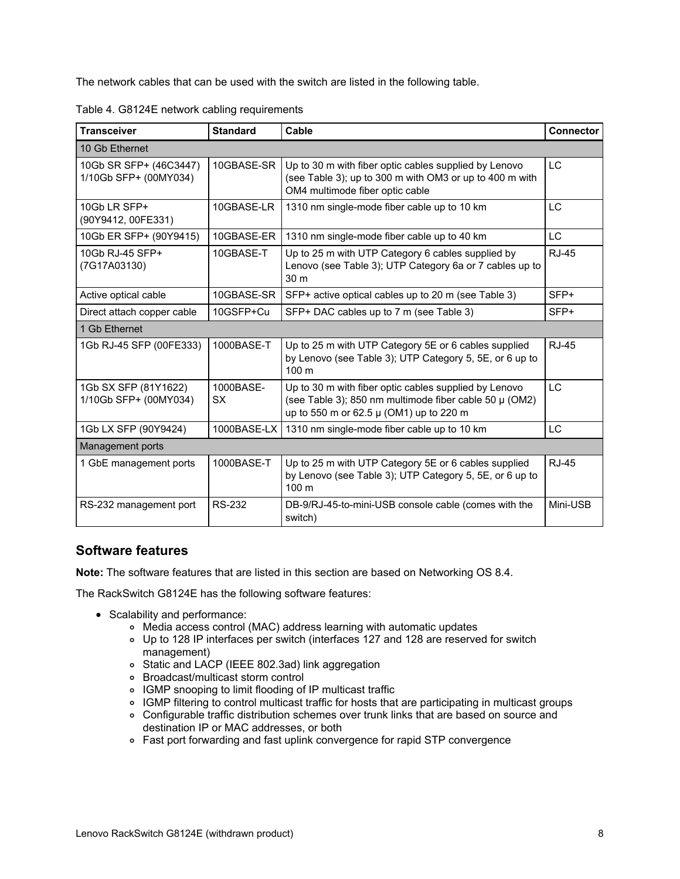The network cables that can be used with the switch are listed in the following table.

| Table 4. G8124E network cabling requirements |  |
|----------------------------------------------|--|
|----------------------------------------------|--|

| <b>Transceiver</b>                              | <b>Standard</b>        | Cable                                                                                                                                                      | <b>Connector</b> |
|-------------------------------------------------|------------------------|------------------------------------------------------------------------------------------------------------------------------------------------------------|------------------|
| 10 Gb Ethernet                                  |                        |                                                                                                                                                            |                  |
| 10Gb SR SFP+ (46C3447)<br>1/10Gb SFP+ (00MY034) | 10GBASE-SR             | Up to 30 m with fiber optic cables supplied by Lenovo<br>(see Table 3); up to 300 m with OM3 or up to 400 m with<br>OM4 multimode fiber optic cable        | <b>LC</b>        |
| 10Gb LR SFP+<br>(90Y9412, 00FE331)              | 10GBASE-LR             | 1310 nm single-mode fiber cable up to 10 km                                                                                                                | <b>LC</b>        |
| 10Gb ER SFP+ (90Y9415)                          | 10GBASE-ER             | 1310 nm single-mode fiber cable up to 40 km                                                                                                                | LC.              |
| 10Gb RJ-45 SFP+<br>(7G17A03130)                 | 10GBASE-T              | Up to 25 m with UTP Category 6 cables supplied by<br>Lenovo (see Table 3); UTP Category 6a or 7 cables up to<br>30 <sub>m</sub>                            | <b>RJ-45</b>     |
| Active optical cable                            | 10GBASE-SR             | SFP+ active optical cables up to 20 m (see Table 3)                                                                                                        | SFP+             |
| Direct attach copper cable                      | 10GSFP+Cu              | SFP+ DAC cables up to 7 m (see Table 3)                                                                                                                    | SFP+             |
| 1 Gb Ethernet                                   |                        |                                                                                                                                                            |                  |
| 1Gb RJ-45 SFP (00FE333)                         | 1000BASE-T             | Up to 25 m with UTP Category 5E or 6 cables supplied<br>by Lenovo (see Table 3); UTP Category 5, 5E, or 6 up to<br>100 <sub>m</sub>                        | <b>RJ-45</b>     |
| 1Gb SX SFP (81Y1622)<br>1/10Gb SFP+ (00MY034)   | 1000BASE-<br><b>SX</b> | Up to 30 m with fiber optic cables supplied by Lenovo<br>(see Table 3); 850 nm multimode fiber cable 50 µ (OM2)<br>up to 550 m or 62.5 µ (OM1) up to 220 m | <b>LC</b>        |
| 1Gb LX SFP (90Y9424)                            | 1000BASE-LX            | 1310 nm single-mode fiber cable up to 10 km                                                                                                                | <b>LC</b>        |
| Management ports                                |                        |                                                                                                                                                            |                  |
| 1 GbE management ports                          | 1000BASE-T             | Up to 25 m with UTP Category 5E or 6 cables supplied<br>by Lenovo (see Table 3); UTP Category 5, 5E, or 6 up to<br>100 m                                   | <b>RJ-45</b>     |
| RS-232 management port                          | <b>RS-232</b>          | DB-9/RJ-45-to-mini-USB console cable (comes with the<br>switch)                                                                                            | Mini-USB         |

## **Software features**

**Note:** The software features that are listed in this section are based on Networking OS 8.4.

The RackSwitch G8124E has the following software features:

- Scalability and performance:
	- Media access control (MAC) address learning with automatic updates
	- Up to 128 IP interfaces per switch (interfaces 127 and 128 are reserved for switch management)
	- Static and LACP (IEEE 802.3ad) link aggregation
	- Broadcast/multicast storm control
	- IGMP snooping to limit flooding of IP multicast traffic
	- o IGMP filtering to control multicast traffic for hosts that are participating in multicast groups
	- Configurable traffic distribution schemes over trunk links that are based on source and destination IP or MAC addresses, or both
	- Fast port forwarding and fast uplink convergence for rapid STP convergence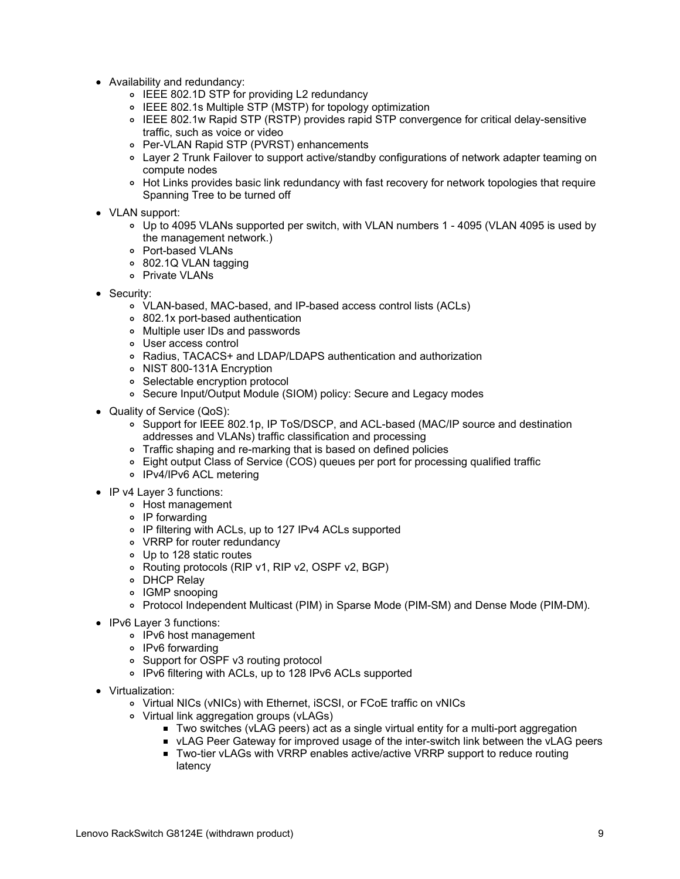- Availability and redundancy:
	- IEEE 802.1D STP for providing L2 redundancy
	- IEEE 802.1s Multiple STP (MSTP) for topology optimization
	- IEEE 802.1w Rapid STP (RSTP) provides rapid STP convergence for critical delay-sensitive traffic, such as voice or video
	- Per-VLAN Rapid STP (PVRST) enhancements
	- Layer 2 Trunk Failover to support active/standby configurations of network adapter teaming on compute nodes
	- o Hot Links provides basic link redundancy with fast recovery for network topologies that require Spanning Tree to be turned off
- VLAN support:
	- Up to 4095 VLANs supported per switch, with VLAN numbers 1 4095 (VLAN 4095 is used by the management network.)
	- Port-based VLANs
	- 802.1Q VLAN tagging
	- o Private VLANs
- Security:
	- VLAN-based, MAC-based, and IP-based access control lists (ACLs)
	- 802.1x port-based authentication
	- Multiple user IDs and passwords
	- User access control
	- Radius, TACACS+ and LDAP/LDAPS authentication and authorization
	- o NIST 800-131A Encryption
	- Selectable encryption protocol
	- Secure Input/Output Module (SIOM) policy: Secure and Legacy modes
- Quality of Service (QoS):
	- o Support for IEEE 802.1p, IP ToS/DSCP, and ACL-based (MAC/IP source and destination addresses and VLANs) traffic classification and processing
	- o Traffic shaping and re-marking that is based on defined policies
	- Eight output Class of Service (COS) queues per port for processing qualified traffic
	- IPv4/IPv6 ACL metering
- IP v4 Layer 3 functions:
	- Host management
	- IP forwarding
	- IP filtering with ACLs, up to 127 IPv4 ACLs supported
	- VRRP for router redundancy
	- Up to 128 static routes
	- Routing protocols (RIP v1, RIP v2, OSPF v2, BGP)
	- DHCP Relay
	- IGMP snooping
	- Protocol Independent Multicast (PIM) in Sparse Mode (PIM-SM) and Dense Mode (PIM-DM).
- IPv6 Layer 3 functions:
	- IPv6 host management
	- o IPv6 forwarding
	- Support for OSPF v3 routing protocol
	- IPv6 filtering with ACLs, up to 128 IPv6 ACLs supported
- Virtualization:
	- Virtual NICs (vNICs) with Ethernet, iSCSI, or FCoE traffic on vNICs
	- Virtual link aggregation groups (vLAGs)
		- Two switches (vLAG peers) act as a single virtual entity for a multi-port aggregation
		- vLAG Peer Gateway for improved usage of the inter-switch link between the vLAG peers
		- Two-tier vLAGs with VRRP enables active/active VRRP support to reduce routing latency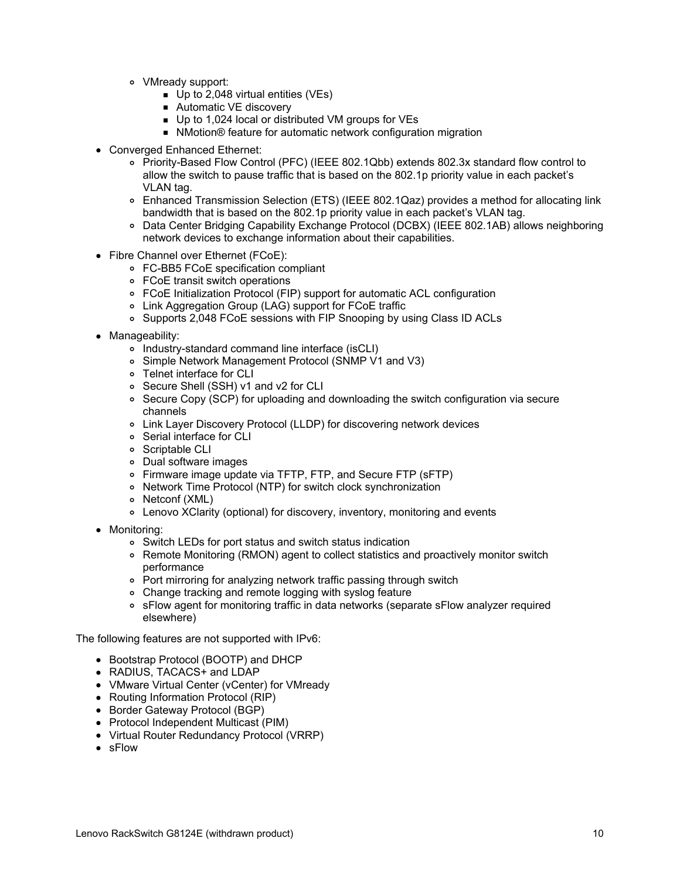- VMready support:
	- Up to 2,048 virtual entities (VEs)
	- Automatic VE discovery
	- Up to 1,024 local or distributed VM groups for VEs
	- NMotion<sup>®</sup> feature for automatic network configuration migration
- Converged Enhanced Ethernet:
	- Priority-Based Flow Control (PFC) (IEEE 802.1Qbb) extends 802.3x standard flow control to allow the switch to pause traffic that is based on the 802.1p priority value in each packet's VLAN tag.
	- Enhanced Transmission Selection (ETS) (IEEE 802.1Qaz) provides a method for allocating link bandwidth that is based on the 802.1p priority value in each packet's VLAN tag.
	- Data Center Bridging Capability Exchange Protocol (DCBX) (IEEE 802.1AB) allows neighboring network devices to exchange information about their capabilities.
- Fibre Channel over Ethernet (FCoE):
	- FC-BB5 FCoE specification compliant
	- FCoE transit switch operations
	- FCoE Initialization Protocol (FIP) support for automatic ACL configuration
	- Link Aggregation Group (LAG) support for FCoE traffic
	- o Supports 2,048 FCoE sessions with FIP Snooping by using Class ID ACLs
- Manageability:
	- o Industry-standard command line interface (isCLI)
	- Simple Network Management Protocol (SNMP V1 and V3)
	- Telnet interface for CLI
	- Secure Shell (SSH) v1 and v2 for CLI
	- Secure Copy (SCP) for uploading and downloading the switch configuration via secure channels
	- Link Layer Discovery Protocol (LLDP) for discovering network devices
	- Serial interface for CLI
	- o Scriptable CLI
	- Dual software images
	- Firmware image update via TFTP, FTP, and Secure FTP (sFTP)
	- Network Time Protocol (NTP) for switch clock synchronization
	- Netconf (XML)
	- Lenovo XClarity (optional) for discovery, inventory, monitoring and events
- Monitoring:
	- Switch LEDs for port status and switch status indication
	- Remote Monitoring (RMON) agent to collect statistics and proactively monitor switch performance
	- Port mirroring for analyzing network traffic passing through switch
	- Change tracking and remote logging with syslog feature
	- sFlow agent for monitoring traffic in data networks (separate sFlow analyzer required elsewhere)

The following features are not supported with IPv6:

- Bootstrap Protocol (BOOTP) and DHCP
- RADIUS, TACACS+ and LDAP
- VMware Virtual Center (vCenter) for VMready
- Routing Information Protocol (RIP)
- Border Gateway Protocol (BGP)
- Protocol Independent Multicast (PIM)
- Virtual Router Redundancy Protocol (VRRP)
- sFlow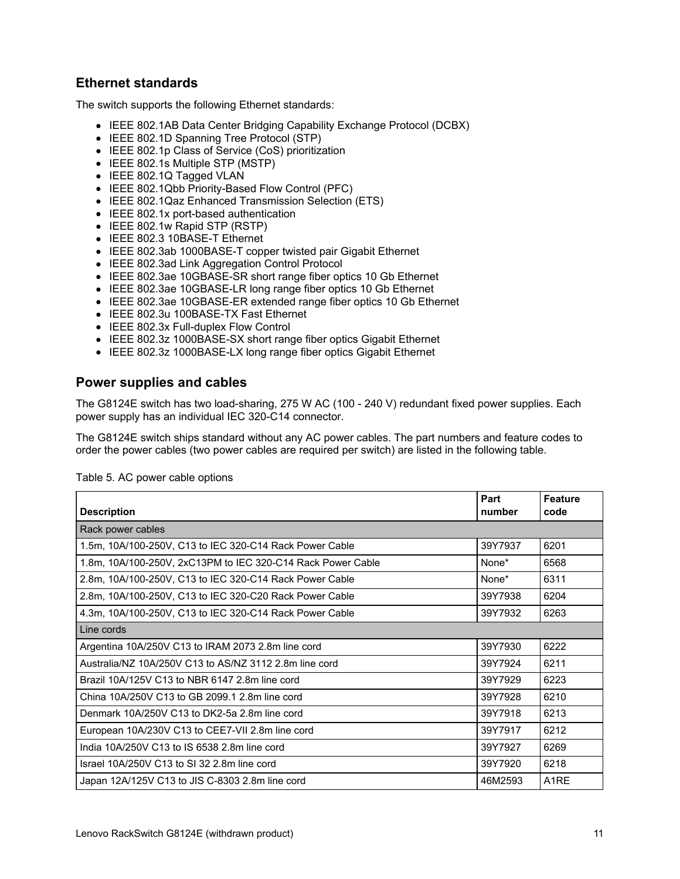## **Ethernet standards**

The switch supports the following Ethernet standards:

- IEEE 802.1AB Data Center Bridging Capability Exchange Protocol (DCBX)
- IEEE 802.1D Spanning Tree Protocol (STP)
- IEEE 802.1p Class of Service (CoS) prioritization
- IEEE 802.1s Multiple STP (MSTP)
- IEEE 802.1Q Tagged VLAN
- IEEE 802.1Qbb Priority-Based Flow Control (PFC)
- IEEE 802.1Qaz Enhanced Transmission Selection (ETS)
- IEEE 802.1x port-based authentication
- IEEE 802.1w Rapid STP (RSTP)
- IEEE 802.3 10BASE-T Ethernet
- IEEE 802.3ab 1000BASE-T copper twisted pair Gigabit Ethernet
- IEEE 802.3ad Link Aggregation Control Protocol
- IEEE 802.3ae 10GBASE-SR short range fiber optics 10 Gb Ethernet
- IEEE 802.3ae 10GBASE-LR long range fiber optics 10 Gb Ethernet
- IEEE 802.3ae 10GBASE-ER extended range fiber optics 10 Gb Ethernet
- IEEE 802.3u 100BASE-TX Fast Ethernet
- IEEE 802.3x Full-duplex Flow Control
- IEEE 802.3z 1000BASE-SX short range fiber optics Gigabit Ethernet
- IEEE 802.3z 1000BASE-LX long range fiber optics Gigabit Ethernet

## **Power supplies and cables**

The G8124E switch has two load-sharing, 275 W AC (100 - 240 V) redundant fixed power supplies. Each power supply has an individual IEC 320-C14 connector.

The G8124E switch ships standard without any AC power cables. The part numbers and feature codes to order the power cables (two power cables are required per switch) are listed in the following table.

| <b>Description</b>                                          | Part<br>number | <b>Feature</b><br>code |
|-------------------------------------------------------------|----------------|------------------------|
| Rack power cables                                           |                |                        |
| 1.5m, 10A/100-250V, C13 to IEC 320-C14 Rack Power Cable     | 39Y7937        | 6201                   |
| 1.8m, 10A/100-250V, 2xC13PM to IEC 320-C14 Rack Power Cable | None*          | 6568                   |
| 2.8m, 10A/100-250V, C13 to IEC 320-C14 Rack Power Cable     | None*          | 6311                   |
| 2.8m, 10A/100-250V, C13 to IEC 320-C20 Rack Power Cable     | 39Y7938        | 6204                   |
| 4.3m, 10A/100-250V, C13 to IEC 320-C14 Rack Power Cable     | 39Y7932        | 6263                   |
| Line cords                                                  |                |                        |
| Argentina 10A/250V C13 to IRAM 2073 2.8m line cord          | 39Y7930        | 6222                   |
| Australia/NZ 10A/250V C13 to AS/NZ 3112 2.8m line cord      | 39Y7924        | 6211                   |
| Brazil 10A/125V C13 to NBR 6147 2.8m line cord              | 39Y7929        | 6223                   |
| China 10A/250V C13 to GB 2099.1 2.8m line cord              | 39Y7928        | 6210                   |
| Denmark 10A/250V C13 to DK2-5a 2.8m line cord               | 39Y7918        | 6213                   |
| European 10A/230V C13 to CEE7-VII 2.8m line cord            | 39Y7917        | 6212                   |
| India 10A/250V C13 to IS 6538 2.8m line cord                | 39Y7927        | 6269                   |
| Israel 10A/250V C13 to SI 32 2.8m line cord                 | 39Y7920        | 6218                   |
| Japan 12A/125V C13 to JIS C-8303 2.8m line cord             | 46M2593        | A <sub>1</sub> RE      |

Table 5. AC power cable options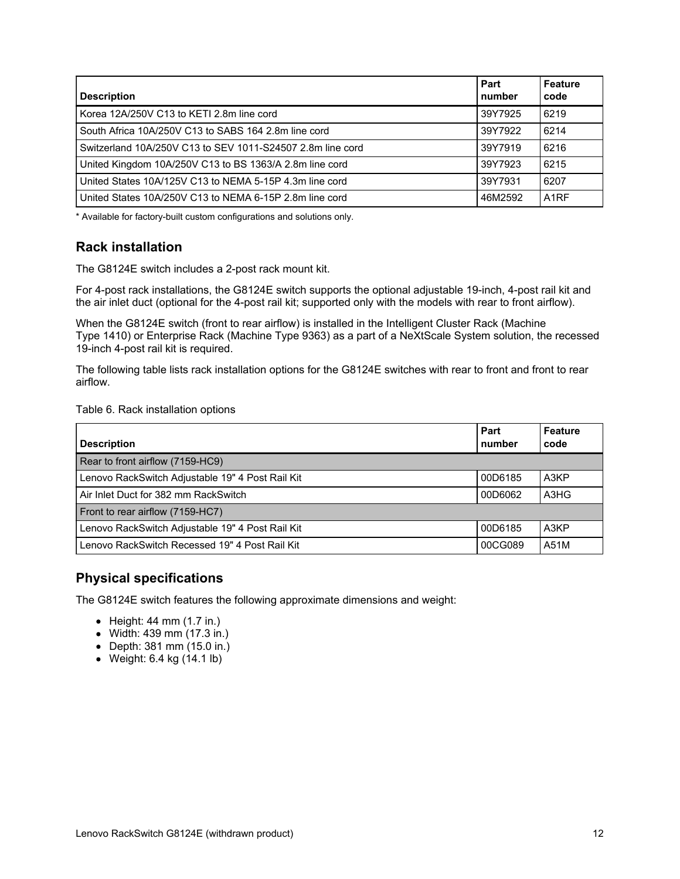| <b>Description</b>                                         | Part<br>number | <b>Feature</b><br>code |
|------------------------------------------------------------|----------------|------------------------|
| Korea 12A/250V C13 to KETI 2.8m line cord                  | 39Y7925        | 6219                   |
| South Africa 10A/250V C13 to SABS 164 2.8m line cord       | 39Y7922        | 6214                   |
| Switzerland 10A/250V C13 to SEV 1011-S24507 2.8m line cord | 39Y7919        | 6216                   |
| United Kingdom 10A/250V C13 to BS 1363/A 2.8m line cord    | 39Y7923        | 6215                   |
| United States 10A/125V C13 to NEMA 5-15P 4.3m line cord    | 39Y7931        | 6207                   |
| United States 10A/250V C13 to NEMA 6-15P 2.8m line cord    | 46M2592        | A <sub>1</sub> RF      |

\* Available for factory-built custom configurations and solutions only.

## **Rack installation**

The G8124E switch includes a 2-post rack mount kit.

For 4-post rack installations, the G8124E switch supports the optional adjustable 19-inch, 4-post rail kit and the air inlet duct (optional for the 4-post rail kit; supported only with the models with rear to front airflow).

When the G8124E switch (front to rear airflow) is installed in the Intelligent Cluster Rack (Machine Type 1410) or Enterprise Rack (Machine Type 9363) as a part of a NeXtScale System solution, the recessed 19-inch 4-post rail kit is required.

The following table lists rack installation options for the G8124E switches with rear to front and front to rear airflow.

#### Table 6. Rack installation options

| <b>Description</b>                               | Part<br>number | <b>Feature</b><br>code |
|--------------------------------------------------|----------------|------------------------|
| Rear to front airflow (7159-HC9)                 |                |                        |
| Lenovo RackSwitch Adjustable 19" 4 Post Rail Kit | 00D6185        | A3KP                   |
| Air Inlet Duct for 382 mm RackSwitch             | 00D6062        | A3HG                   |
| Front to rear airflow (7159-HC7)                 |                |                        |
| Lenovo RackSwitch Adjustable 19" 4 Post Rail Kit | 00D6185        | A3KP                   |
| Lenovo RackSwitch Recessed 19" 4 Post Rail Kit   | 00CG089        | A51M                   |

## **Physical specifications**

The G8124E switch features the following approximate dimensions and weight:

- $\bullet$  Height: 44 mm (1.7 in.)
- Width: 439 mm (17.3 in.)
- Depth: 381 mm (15.0 in.)
- $\bullet$  Weight: 6.4 kg (14.1 lb)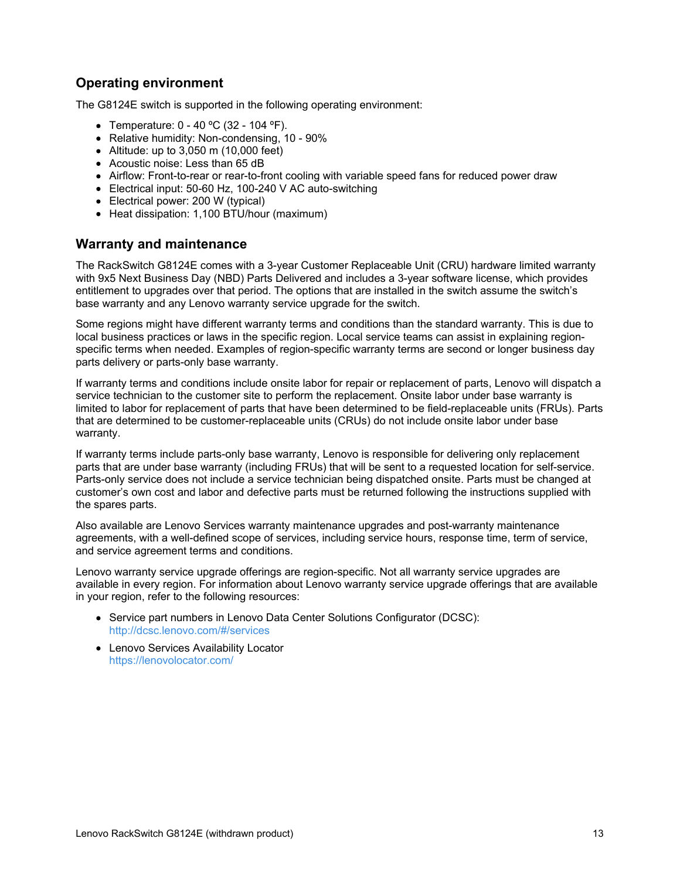## **Operating environment**

The G8124E switch is supported in the following operating environment:

- Temperature:  $0 40$  °C (32 104 °F).
- Relative humidity: Non-condensing, 10 90%
- Altitude: up to 3,050 m (10,000 feet)
- Acoustic noise: Less than 65 dB
- Airflow: Front-to-rear or rear-to-front cooling with variable speed fans for reduced power draw
- Electrical input: 50-60 Hz, 100-240 V AC auto-switching
- Electrical power: 200 W (typical)
- Heat dissipation: 1,100 BTU/hour (maximum)

#### **Warranty and maintenance**

The RackSwitch G8124E comes with a 3-year Customer Replaceable Unit (CRU) hardware limited warranty with 9x5 Next Business Day (NBD) Parts Delivered and includes a 3-year software license, which provides entitlement to upgrades over that period. The options that are installed in the switch assume the switch's base warranty and any Lenovo warranty service upgrade for the switch.

Some regions might have different warranty terms and conditions than the standard warranty. This is due to local business practices or laws in the specific region. Local service teams can assist in explaining regionspecific terms when needed. Examples of region-specific warranty terms are second or longer business day parts delivery or parts-only base warranty.

If warranty terms and conditions include onsite labor for repair or replacement of parts, Lenovo will dispatch a service technician to the customer site to perform the replacement. Onsite labor under base warranty is limited to labor for replacement of parts that have been determined to be field-replaceable units (FRUs). Parts that are determined to be customer-replaceable units (CRUs) do not include onsite labor under base warranty.

If warranty terms include parts-only base warranty, Lenovo is responsible for delivering only replacement parts that are under base warranty (including FRUs) that will be sent to a requested location for self-service. Parts-only service does not include a service technician being dispatched onsite. Parts must be changed at customer's own cost and labor and defective parts must be returned following the instructions supplied with the spares parts.

Also available are Lenovo Services warranty maintenance upgrades and post-warranty maintenance agreements, with a well-defined scope of services, including service hours, response time, term of service, and service agreement terms and conditions.

Lenovo warranty service upgrade offerings are region-specific. Not all warranty service upgrades are available in every region. For information about Lenovo warranty service upgrade offerings that are available in your region, refer to the following resources:

- Service part numbers in Lenovo Data Center Solutions Configurator (DCSC): <http://dcsc.lenovo.com/#/services>
- Lenovo Services Availability Locator <https://lenovolocator.com/>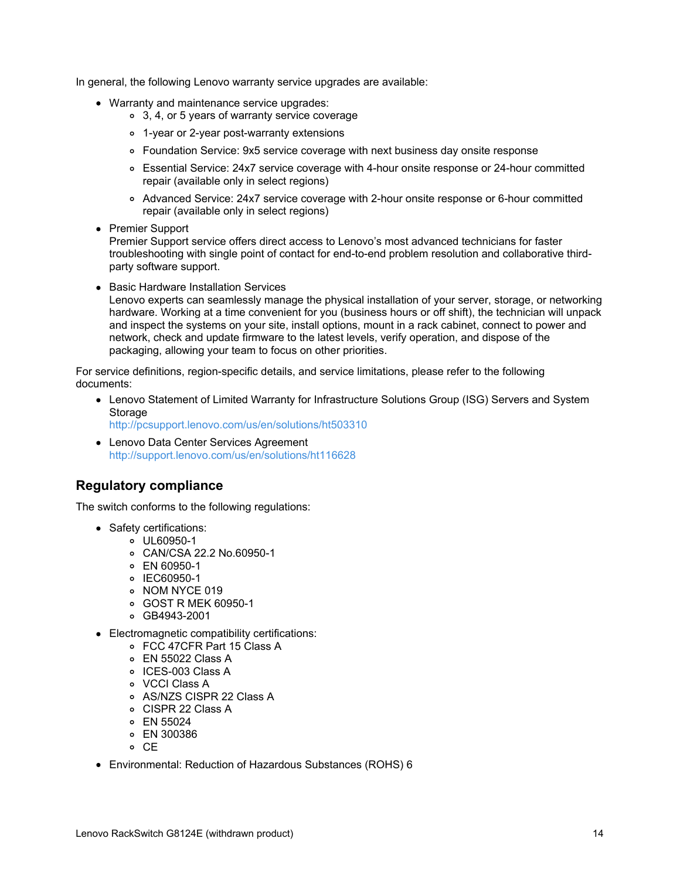In general, the following Lenovo warranty service upgrades are available:

- Warranty and maintenance service upgrades:
	- 3, 4, or 5 years of warranty service coverage
	- 1-year or 2-year post-warranty extensions
	- Foundation Service: 9x5 service coverage with next business day onsite response
	- Essential Service: 24x7 service coverage with 4-hour onsite response or 24-hour committed repair (available only in select regions)
	- Advanced Service: 24x7 service coverage with 2-hour onsite response or 6-hour committed repair (available only in select regions)
- Premier Support

Premier Support service offers direct access to Lenovo's most advanced technicians for faster troubleshooting with single point of contact for end-to-end problem resolution and collaborative thirdparty software support.

• Basic Hardware Installation Services

Lenovo experts can seamlessly manage the physical installation of your server, storage, or networking hardware. Working at a time convenient for you (business hours or off shift), the technician will unpack and inspect the systems on your site, install options, mount in a rack cabinet, connect to power and network, check and update firmware to the latest levels, verify operation, and dispose of the packaging, allowing your team to focus on other priorities.

For service definitions, region-specific details, and service limitations, please refer to the following documents:

- Lenovo Statement of Limited Warranty for Infrastructure Solutions Group (ISG) Servers and System **Storage** <http://pcsupport.lenovo.com/us/en/solutions/ht503310>
- Lenovo Data Center Services Agreement <http://support.lenovo.com/us/en/solutions/ht116628>

## **Regulatory compliance**

The switch conforms to the following regulations:

- Safety certifications:
	- UL60950-1
		- CAN/CSA 22.2 No.60950-1
		- EN 60950-1
		- o IEC60950-1
		- o NOM NYCE 019
		- GOST R MEK 60950-1
		- GB4943-2001
- Electromagnetic compatibility certifications:
	- FCC 47CFR Part 15 Class A
	- EN 55022 Class A
	- o ICES-003 Class A
	- VCCI Class A
	- AS/NZS CISPR 22 Class A
	- CISPR 22 Class A
	- EN 55024
	- EN 300386
	- o CE
- Environmental: Reduction of Hazardous Substances (ROHS) 6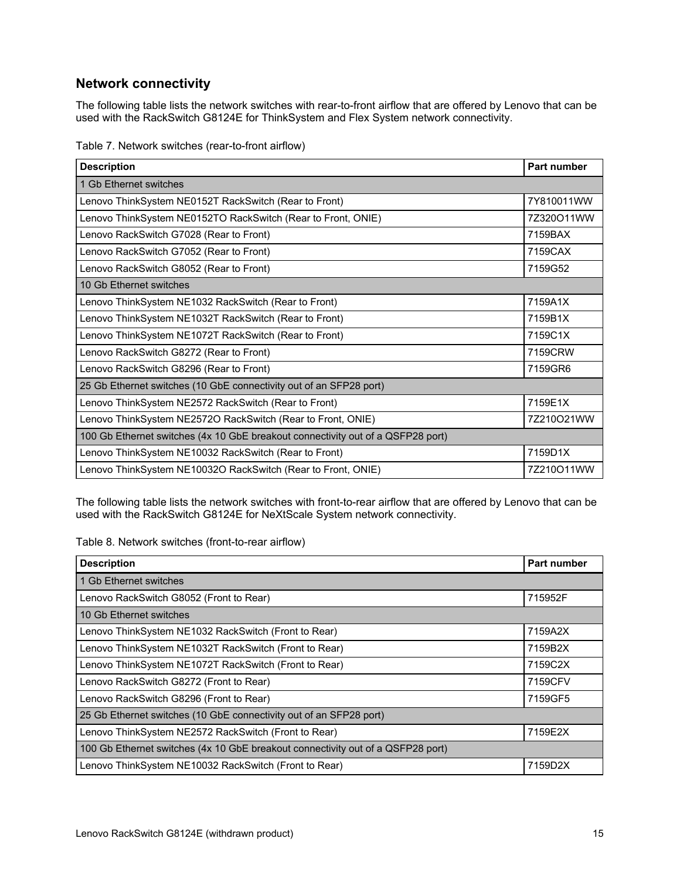## **Network connectivity**

The following table lists the network switches with rear-to-front airflow that are offered by Lenovo that can be used with the RackSwitch G8124E for ThinkSystem and Flex System network connectivity.

| Table 7. Network switches (rear-to-front airflow) |  |
|---------------------------------------------------|--|
|---------------------------------------------------|--|

| <b>Description</b>                                                              | Part number |  |
|---------------------------------------------------------------------------------|-------------|--|
| 1 Gb Ethernet switches                                                          |             |  |
| Lenovo ThinkSystem NE0152T RackSwitch (Rear to Front)                           | 7Y810011WW  |  |
| Lenovo ThinkSystem NE0152TO RackSwitch (Rear to Front, ONIE)                    | 7Z320O11WW  |  |
| Lenovo RackSwitch G7028 (Rear to Front)                                         | 7159BAX     |  |
| Lenovo RackSwitch G7052 (Rear to Front)                                         | 7159CAX     |  |
| Lenovo RackSwitch G8052 (Rear to Front)                                         | 7159G52     |  |
| 10 Gb Ethernet switches                                                         |             |  |
| Lenovo ThinkSystem NE1032 RackSwitch (Rear to Front)                            | 7159A1X     |  |
| Lenovo ThinkSystem NE1032T RackSwitch (Rear to Front)                           | 7159B1X     |  |
| Lenovo ThinkSystem NE1072T RackSwitch (Rear to Front)                           | 7159C1X     |  |
| Lenovo RackSwitch G8272 (Rear to Front)                                         | 7159CRW     |  |
| Lenovo RackSwitch G8296 (Rear to Front)                                         | 7159GR6     |  |
| 25 Gb Ethernet switches (10 GbE connectivity out of an SFP28 port)              |             |  |
| Lenovo ThinkSystem NE2572 RackSwitch (Rear to Front)                            | 7159E1X     |  |
| Lenovo ThinkSystem NE2572O RackSwitch (Rear to Front, ONIE)                     | 7Z210O21WW  |  |
| 100 Gb Ethernet switches (4x 10 GbE breakout connectivity out of a QSFP28 port) |             |  |
| Lenovo ThinkSystem NE10032 RackSwitch (Rear to Front)                           | 7159D1X     |  |
| Lenovo ThinkSystem NE10032O RackSwitch (Rear to Front, ONIE)                    | 7Z210O11WW  |  |

The following table lists the network switches with front-to-rear airflow that are offered by Lenovo that can be used with the RackSwitch G8124E for NeXtScale System network connectivity.

Table 8. Network switches (front-to-rear airflow)

| <b>Description</b>                                                              | Part number |
|---------------------------------------------------------------------------------|-------------|
| 1 Gb Ethernet switches                                                          |             |
| Lenovo RackSwitch G8052 (Front to Rear)                                         | 715952F     |
| 10 Gb Ethernet switches                                                         |             |
| Lenovo ThinkSystem NE1032 RackSwitch (Front to Rear)                            | 7159A2X     |
| Lenovo ThinkSystem NE1032T RackSwitch (Front to Rear)                           | 7159B2X     |
| Lenovo ThinkSystem NE1072T RackSwitch (Front to Rear)                           | 7159C2X     |
| Lenovo RackSwitch G8272 (Front to Rear)                                         | 7159CFV     |
| Lenovo RackSwitch G8296 (Front to Rear)                                         | 7159GF5     |
| 25 Gb Ethernet switches (10 GbE connectivity out of an SFP28 port)              |             |
| Lenovo ThinkSystem NE2572 RackSwitch (Front to Rear)                            | 7159E2X     |
| 100 Gb Ethernet switches (4x 10 GbE breakout connectivity out of a QSFP28 port) |             |
| Lenovo ThinkSystem NE10032 RackSwitch (Front to Rear)                           | 7159D2X     |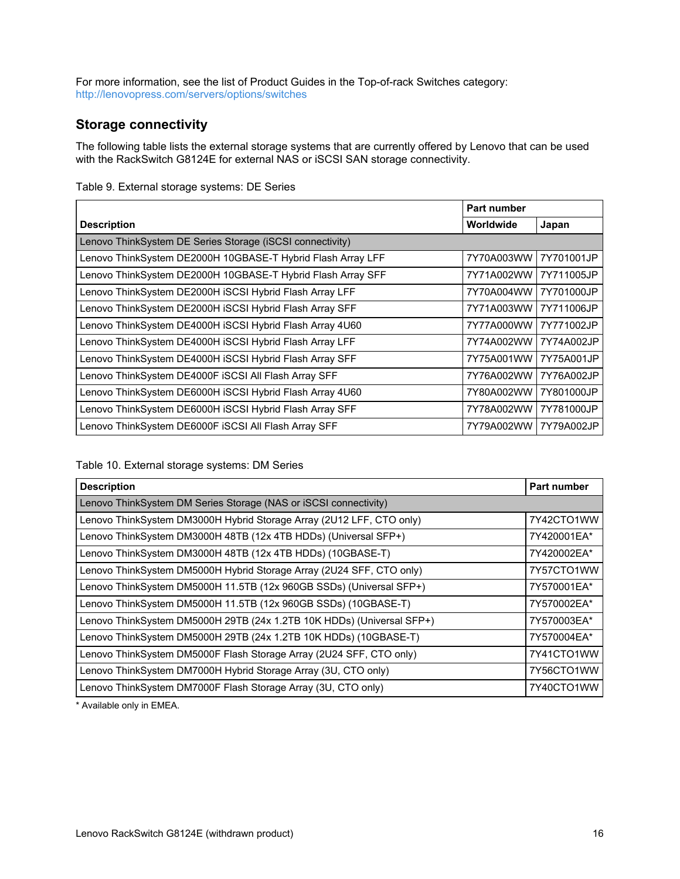For more information, see the list of Product Guides in the Top-of-rack Switches category: <http://lenovopress.com/servers/options/switches>

## **Storage connectivity**

The following table lists the external storage systems that are currently offered by Lenovo that can be used with the RackSwitch G8124E for external NAS or iSCSI SAN storage connectivity.

|                                                             | Part number |            |
|-------------------------------------------------------------|-------------|------------|
| <b>Description</b>                                          | Worldwide   | Japan      |
| Lenovo ThinkSystem DE Series Storage (iSCSI connectivity)   |             |            |
| Lenovo ThinkSystem DE2000H 10GBASE-T Hybrid Flash Array LFF | 7Y70A003WW  | 7Y701001JP |
| Lenovo ThinkSystem DE2000H 10GBASE-T Hybrid Flash Array SFF | 7Y71A002WW  | 7Y711005JP |
| Lenovo ThinkSystem DE2000H iSCSI Hybrid Flash Array LFF     | 7Y70A004WW  | 7Y701000JP |
| Lenovo ThinkSystem DE2000H iSCSI Hybrid Flash Array SFF     | 7Y71A003WW  | 7Y711006JP |
| Lenovo ThinkSystem DE4000H iSCSI Hybrid Flash Array 4U60    | 7Y77A000WW  | 7Y771002JP |
| Lenovo ThinkSystem DE4000H iSCSI Hybrid Flash Array LFF     | 7Y74A002WW  | 7Y74A002JP |
| Lenovo ThinkSystem DE4000H iSCSI Hybrid Flash Array SFF     | 7Y75A001WW  | 7Y75A001JP |
| Lenovo ThinkSystem DE4000F iSCSI All Flash Array SFF        | 7Y76A002WW  | 7Y76A002JP |
| Lenovo ThinkSystem DE6000H iSCSI Hybrid Flash Array 4U60    | 7Y80A002WW  | 7Y801000JP |
| Lenovo ThinkSystem DE6000H iSCSI Hybrid Flash Array SFF     | 7Y78A002WW  | 7Y781000JP |
| Lenovo ThinkSystem DE6000F ISCSI All Flash Array SFF        | 7Y79A002WW  | 7Y79A002JP |

#### Table 9. External storage systems: DE Series

Table 10. External storage systems: DM Series

| <b>Description</b>                                                    | <b>Part number</b> |
|-----------------------------------------------------------------------|--------------------|
| Lenovo ThinkSystem DM Series Storage (NAS or iSCSI connectivity)      |                    |
| Lenovo ThinkSystem DM3000H Hybrid Storage Array (2U12 LFF, CTO only)  | 7Y42CTO1WW         |
| Lenovo ThinkSystem DM3000H 48TB (12x 4TB HDDs) (Universal SFP+)       | 7Y420001EA*        |
| Lenovo ThinkSystem DM3000H 48TB (12x 4TB HDDs) (10GBASE-T)            | 7Y420002EA*        |
| Lenovo ThinkSystem DM5000H Hybrid Storage Array (2U24 SFF, CTO only)  | 7Y57CTO1WW         |
| Lenovo ThinkSystem DM5000H 11.5TB (12x 960GB SSDs) (Universal SFP+)   | 7Y570001EA*        |
| Lenovo ThinkSystem DM5000H 11.5TB (12x 960GB SSDs) (10GBASE-T)        | 7Y570002EA*        |
| Lenovo ThinkSystem DM5000H 29TB (24x 1.2TB 10K HDDs) (Universal SFP+) | 7Y570003EA*        |
| Lenovo ThinkSystem DM5000H 29TB (24x 1.2TB 10K HDDs) (10GBASE-T)      | 7Y570004EA*        |
| Lenovo ThinkSystem DM5000F Flash Storage Array (2U24 SFF, CTO only)   | 7Y41CTO1WW         |
| Lenovo ThinkSystem DM7000H Hybrid Storage Array (3U, CTO only)        | 7Y56CTO1WW         |
| Lenovo ThinkSystem DM7000F Flash Storage Array (3U, CTO only)         | 7Y40CTO1WW         |

\* Available only in EMEA.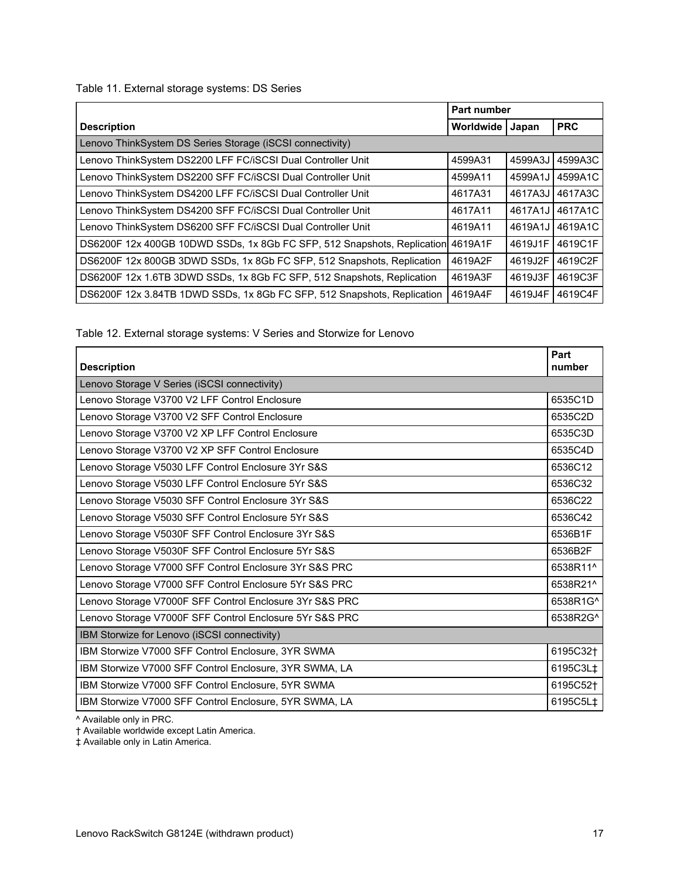Table 11. External storage systems: DS Series

|                                                                                 | Part number |         |            |
|---------------------------------------------------------------------------------|-------------|---------|------------|
| <b>Description</b>                                                              | Worldwide   | Japan   | <b>PRC</b> |
| Lenovo ThinkSystem DS Series Storage (iSCSI connectivity)                       |             |         |            |
| Lenovo ThinkSystem DS2200 LFF FC/iSCSI Dual Controller Unit                     | 4599A31     | 4599A3J | 4599A3C    |
| Lenovo ThinkSystem DS2200 SFF FC/iSCSI Dual Controller Unit                     | 4599A11     | 4599A1J | 4599A1C    |
| Lenovo ThinkSystem DS4200 LFF FC/iSCSI Dual Controller Unit                     | 4617A31     | 4617A3J | 4617A3C    |
| Lenovo ThinkSystem DS4200 SFF FC/iSCSI Dual Controller Unit                     | 4617A11     | 4617A1J | 4617A1C    |
| Lenovo ThinkSystem DS6200 SFF FC/iSCSI Dual Controller Unit                     | 4619A11     | 4619A1J | 4619A1C    |
| DS6200F 12x 400GB 10DWD SSDs, 1x 8Gb FC SFP, 512 Snapshots, Replication 4619A1F |             | 4619J1F | 4619C1F    |
| DS6200F 12x 800GB 3DWD SSDs, 1x 8Gb FC SFP, 512 Snapshots, Replication          | 4619A2F     | 4619J2F | 4619C2F    |
| DS6200F 12x 1.6TB 3DWD SSDs, 1x 8Gb FC SFP, 512 Snapshots, Replication          | 4619A3F     | 4619J3F | 4619C3F    |
| DS6200F 12x 3.84TB 1DWD SSDs, 1x 8Gb FC SFP, 512 Snapshots, Replication         | 4619A4F     | 4619J4F | 4619C4F    |

Table 12. External storage systems: V Series and Storwize for Lenovo

| <b>Description</b>                                      | Part<br>number       |
|---------------------------------------------------------|----------------------|
| Lenovo Storage V Series (iSCSI connectivity)            |                      |
| Lenovo Storage V3700 V2 LFF Control Enclosure           | 6535C1D              |
| Lenovo Storage V3700 V2 SFF Control Enclosure           | 6535C2D              |
| Lenovo Storage V3700 V2 XP LFF Control Enclosure        | 6535C3D              |
| Lenovo Storage V3700 V2 XP SFF Control Enclosure        | 6535C4D              |
| Lenovo Storage V5030 LFF Control Enclosure 3Yr S&S      | 6536C12              |
| Lenovo Storage V5030 LFF Control Enclosure 5Yr S&S      | 6536C32              |
| Lenovo Storage V5030 SFF Control Enclosure 3Yr S&S      | 6536C22              |
| Lenovo Storage V5030 SFF Control Enclosure 5Yr S&S      | 6536C42              |
| Lenovo Storage V5030F SFF Control Enclosure 3Yr S&S     | 6536B1F              |
| Lenovo Storage V5030F SFF Control Enclosure 5Yr S&S     | 6536B2F              |
| Lenovo Storage V7000 SFF Control Enclosure 3Yr S&S PRC  | 6538R11^             |
| Lenovo Storage V7000 SFF Control Enclosure 5Yr S&S PRC  | 6538R21^             |
| Lenovo Storage V7000F SFF Control Enclosure 3Yr S&S PRC | 6538R1G^             |
| Lenovo Storage V7000F SFF Control Enclosure 5Yr S&S PRC | 6538R2G^             |
| IBM Storwize for Lenovo (iSCSI connectivity)            |                      |
| IBM Storwize V7000 SFF Control Enclosure, 3YR SWMA      | 6195C32 <sup>+</sup> |
| IBM Storwize V7000 SFF Control Enclosure, 3YR SWMA, LA  | 6195C3L‡             |
| IBM Storwize V7000 SFF Control Enclosure, 5YR SWMA      | 6195C52†             |
| IBM Storwize V7000 SFF Control Enclosure, 5YR SWMA, LA  | 6195C5L‡             |

^ Available only in PRC.

† Available worldwide except Latin America.

‡ Available only in Latin America.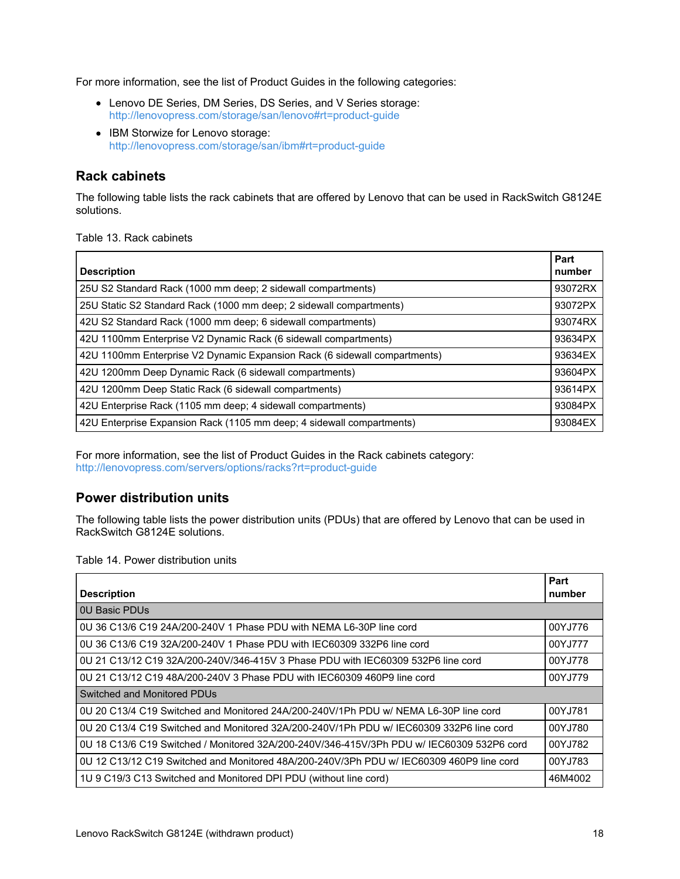For more information, see the list of Product Guides in the following categories:

- Lenovo DE Series, DM Series, DS Series, and V Series storage: <http://lenovopress.com/storage/san/lenovo#rt=product-guide>
- IBM Storwize for Lenovo storage: <http://lenovopress.com/storage/san/ibm#rt=product-guide>

## **Rack cabinets**

The following table lists the rack cabinets that are offered by Lenovo that can be used in RackSwitch G8124E solutions.

Table 13. Rack cabinets

| <b>Description</b>                                                        | Part<br>number |
|---------------------------------------------------------------------------|----------------|
| 25U S2 Standard Rack (1000 mm deep; 2 sidewall compartments)              | 93072RX        |
| 25U Static S2 Standard Rack (1000 mm deep; 2 sidewall compartments)       | 93072PX        |
| 42U S2 Standard Rack (1000 mm deep; 6 sidewall compartments)              | 93074RX        |
| 42U 1100mm Enterprise V2 Dynamic Rack (6 sidewall compartments)           | 93634PX        |
| 42U 1100mm Enterprise V2 Dynamic Expansion Rack (6 sidewall compartments) | 93634EX        |
| 42U 1200mm Deep Dynamic Rack (6 sidewall compartments)                    | 93604PX        |
| 42U 1200mm Deep Static Rack (6 sidewall compartments)                     | 93614PX        |
| 42U Enterprise Rack (1105 mm deep; 4 sidewall compartments)               | 93084PX        |
| 42U Enterprise Expansion Rack (1105 mm deep; 4 sidewall compartments)     | 93084EX        |

For more information, see the list of Product Guides in the Rack cabinets category: <http://lenovopress.com/servers/options/racks?rt=product-guide>

## **Power distribution units**

The following table lists the power distribution units (PDUs) that are offered by Lenovo that can be used in RackSwitch G8124E solutions.

Table 14. Power distribution units

| <b>Description</b>                                                                        | Part<br>number |
|-------------------------------------------------------------------------------------------|----------------|
| <b>0U Basic PDUs</b>                                                                      |                |
| 0U 36 C13/6 C19 24A/200-240V 1 Phase PDU with NEMA L6-30P line cord                       | 00YJ776        |
| 0U 36 C13/6 C19 32A/200-240V 1 Phase PDU with IEC60309 332P6 line cord                    | 00YJ777        |
| 0U 21 C13/12 C19 32A/200-240V/346-415V 3 Phase PDU with IEC60309 532P6 line cord          | 00YJ778        |
| 0U 21 C13/12 C19 48A/200-240V 3 Phase PDU with IEC60309 460P9 line cord                   | 00YJ779        |
| Switched and Monitored PDUs                                                               |                |
| 0U 20 C13/4 C19 Switched and Monitored 24A/200-240V/1Ph PDU w/ NEMA L6-30P line cord      | 00YJ781        |
| 0U 20 C13/4 C19 Switched and Monitored 32A/200-240V/1Ph PDU w/ IEC60309 332P6 line cord   | 00YJ780        |
| 0U 18 C13/6 C19 Switched / Monitored 32A/200-240V/346-415V/3Ph PDU w/ IEC60309 532P6 cord | 00YJ782        |
| 0U 12 C13/12 C19 Switched and Monitored 48A/200-240V/3Ph PDU w/ IEC60309 460P9 line cord  | 00YJ783        |
| 1U 9 C19/3 C13 Switched and Monitored DPI PDU (without line cord)                         | 46M4002        |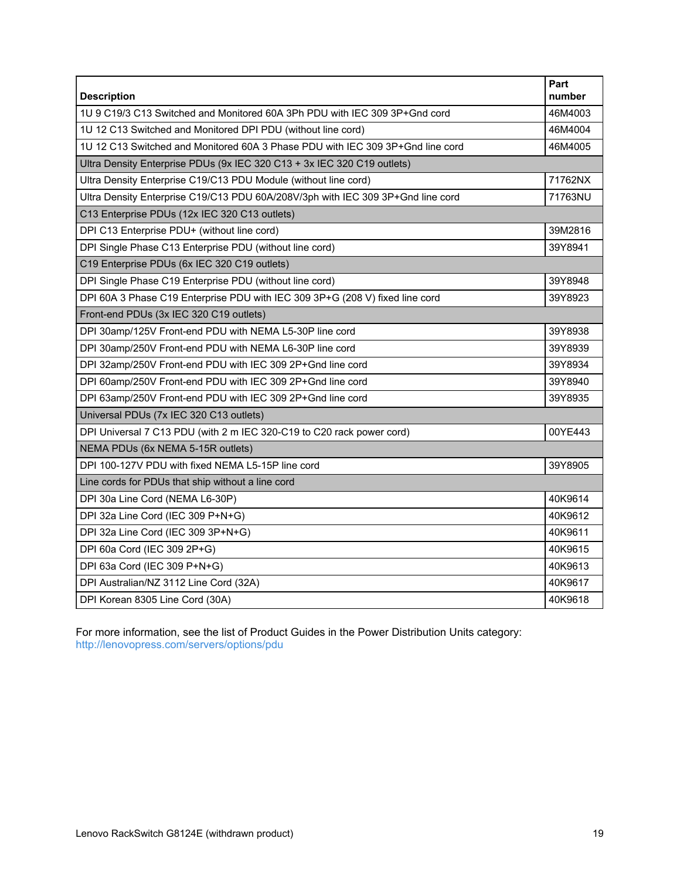| <b>Description</b>                                                              | Part<br>number |
|---------------------------------------------------------------------------------|----------------|
| 1U 9 C19/3 C13 Switched and Monitored 60A 3Ph PDU with IEC 309 3P+Gnd cord      | 46M4003        |
| 1U 12 C13 Switched and Monitored DPI PDU (without line cord)                    | 46M4004        |
| 1U 12 C13 Switched and Monitored 60A 3 Phase PDU with IEC 309 3P+Gnd line cord  | 46M4005        |
| Ultra Density Enterprise PDUs (9x IEC 320 C13 + 3x IEC 320 C19 outlets)         |                |
| Ultra Density Enterprise C19/C13 PDU Module (without line cord)                 | 71762NX        |
| Ultra Density Enterprise C19/C13 PDU 60A/208V/3ph with IEC 309 3P+Gnd line cord | 71763NU        |
| C13 Enterprise PDUs (12x IEC 320 C13 outlets)                                   |                |
| DPI C13 Enterprise PDU+ (without line cord)                                     | 39M2816        |
| DPI Single Phase C13 Enterprise PDU (without line cord)                         | 39Y8941        |
| C19 Enterprise PDUs (6x IEC 320 C19 outlets)                                    |                |
| DPI Single Phase C19 Enterprise PDU (without line cord)                         | 39Y8948        |
| DPI 60A 3 Phase C19 Enterprise PDU with IEC 309 3P+G (208 V) fixed line cord    | 39Y8923        |
| Front-end PDUs (3x IEC 320 C19 outlets)                                         |                |
| DPI 30amp/125V Front-end PDU with NEMA L5-30P line cord                         | 39Y8938        |
| DPI 30amp/250V Front-end PDU with NEMA L6-30P line cord                         | 39Y8939        |
| DPI 32amp/250V Front-end PDU with IEC 309 2P+Gnd line cord                      | 39Y8934        |
| DPI 60amp/250V Front-end PDU with IEC 309 2P+Gnd line cord                      | 39Y8940        |
| DPI 63amp/250V Front-end PDU with IEC 309 2P+Gnd line cord                      | 39Y8935        |
| Universal PDUs (7x IEC 320 C13 outlets)                                         |                |
| DPI Universal 7 C13 PDU (with 2 m IEC 320-C19 to C20 rack power cord)           | 00YE443        |
| NEMA PDUs (6x NEMA 5-15R outlets)                                               |                |
| DPI 100-127V PDU with fixed NEMA L5-15P line cord                               | 39Y8905        |
| Line cords for PDUs that ship without a line cord                               |                |
| DPI 30a Line Cord (NEMA L6-30P)                                                 | 40K9614        |
| DPI 32a Line Cord (IEC 309 P+N+G)                                               | 40K9612        |
| DPI 32a Line Cord (IEC 309 3P+N+G)                                              | 40K9611        |
| DPI 60a Cord (IEC 309 2P+G)                                                     | 40K9615        |
| DPI 63a Cord (IEC 309 P+N+G)                                                    | 40K9613        |
| DPI Australian/NZ 3112 Line Cord (32A)                                          | 40K9617        |
| DPI Korean 8305 Line Cord (30A)                                                 | 40K9618        |

For more information, see the list of Product Guides in the Power Distribution Units category: <http://lenovopress.com/servers/options/pdu>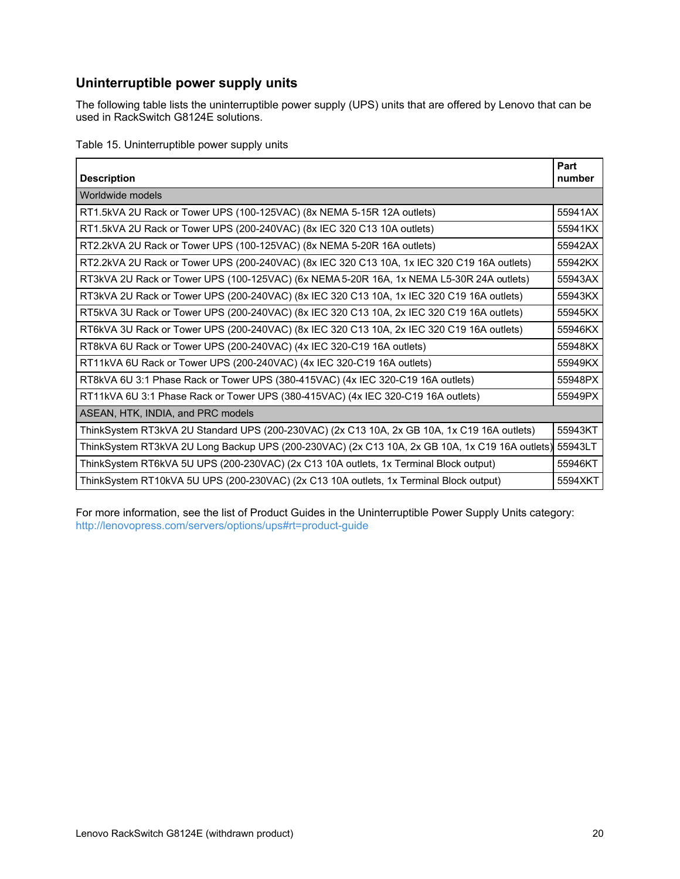## **Uninterruptible power supply units**

The following table lists the uninterruptible power supply (UPS) units that are offered by Lenovo that can be used in RackSwitch G8124E solutions.

Table 15. Uninterruptible power supply units

| <b>Description</b>                                                                                     | Part<br>number |
|--------------------------------------------------------------------------------------------------------|----------------|
| Worldwide models                                                                                       |                |
| RT1.5kVA 2U Rack or Tower UPS (100-125VAC) (8x NEMA 5-15R 12A outlets)                                 | 55941AX        |
| RT1.5kVA 2U Rack or Tower UPS (200-240VAC) (8x IEC 320 C13 10A outlets)                                | 55941KX        |
| RT2.2kVA 2U Rack or Tower UPS (100-125VAC) (8x NEMA 5-20R 16A outlets)                                 | 55942AX        |
| RT2.2kVA 2U Rack or Tower UPS (200-240VAC) (8x IEC 320 C13 10A, 1x IEC 320 C19 16A outlets)            | 55942KX        |
| RT3kVA 2U Rack or Tower UPS (100-125VAC) (6x NEMA 5-20R 16A, 1x NEMA L5-30R 24A outlets)               | 55943AX        |
| RT3kVA 2U Rack or Tower UPS (200-240VAC) (8x IEC 320 C13 10A, 1x IEC 320 C19 16A outlets)              | 55943KX        |
| RT5kVA 3U Rack or Tower UPS (200-240VAC) (8x IEC 320 C13 10A, 2x IEC 320 C19 16A outlets)              | 55945KX        |
| RT6kVA 3U Rack or Tower UPS (200-240VAC) (8x IEC 320 C13 10A, 2x IEC 320 C19 16A outlets)              | 55946KX        |
| RT8kVA 6U Rack or Tower UPS (200-240VAC) (4x IEC 320-C19 16A outlets)                                  | 55948KX        |
| RT11kVA 6U Rack or Tower UPS (200-240VAC) (4x IEC 320-C19 16A outlets)                                 | 55949KX        |
| RT8kVA 6U 3:1 Phase Rack or Tower UPS (380-415VAC) (4x IEC 320-C19 16A outlets)                        | 55948PX        |
| RT11kVA 6U 3:1 Phase Rack or Tower UPS (380-415VAC) (4x IEC 320-C19 16A outlets)                       | 55949PX        |
| ASEAN, HTK, INDIA, and PRC models                                                                      |                |
| ThinkSystem RT3kVA 2U Standard UPS (200-230VAC) (2x C13 10A, 2x GB 10A, 1x C19 16A outlets)            | 55943KT        |
| ThinkSystem RT3kVA 2U Long Backup UPS (200-230VAC) (2x C13 10A, 2x GB 10A, 1x C19 16A outlets) 55943LT |                |
| ThinkSystem RT6kVA 5U UPS (200-230VAC) (2x C13 10A outlets, 1x Terminal Block output)                  | 55946KT        |
| ThinkSystem RT10kVA 5U UPS (200-230VAC) (2x C13 10A outlets, 1x Terminal Block output)                 | 5594XKT        |

For more information, see the list of Product Guides in the Uninterruptible Power Supply Units category: <http://lenovopress.com/servers/options/ups#rt=product-guide>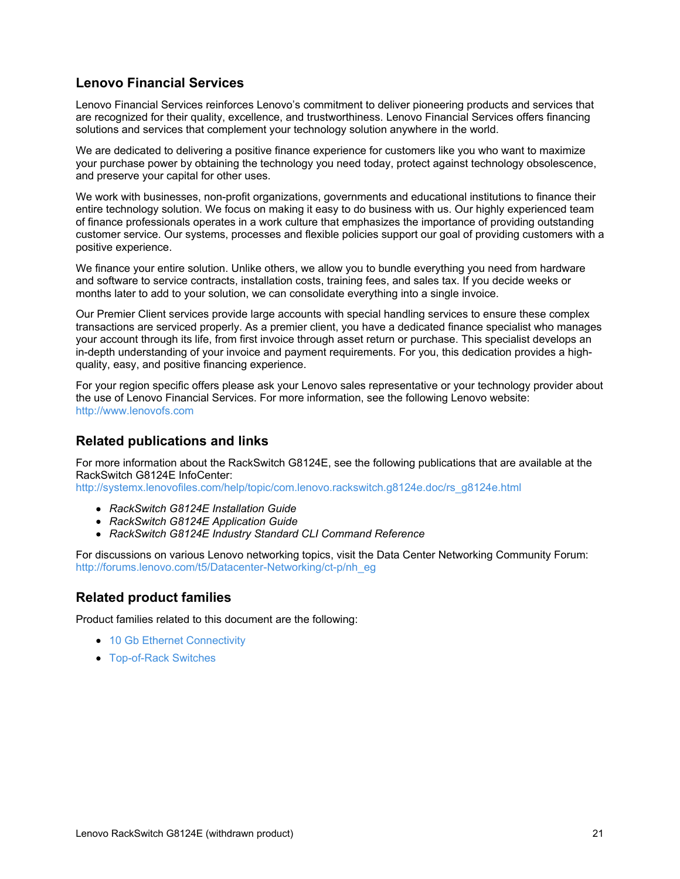## **Lenovo Financial Services**

Lenovo Financial Services reinforces Lenovo's commitment to deliver pioneering products and services that are recognized for their quality, excellence, and trustworthiness. Lenovo Financial Services offers financing solutions and services that complement your technology solution anywhere in the world.

We are dedicated to delivering a positive finance experience for customers like you who want to maximize your purchase power by obtaining the technology you need today, protect against technology obsolescence, and preserve your capital for other uses.

We work with businesses, non-profit organizations, governments and educational institutions to finance their entire technology solution. We focus on making it easy to do business with us. Our highly experienced team of finance professionals operates in a work culture that emphasizes the importance of providing outstanding customer service. Our systems, processes and flexible policies support our goal of providing customers with a positive experience.

We finance your entire solution. Unlike others, we allow you to bundle everything you need from hardware and software to service contracts, installation costs, training fees, and sales tax. If you decide weeks or months later to add to your solution, we can consolidate everything into a single invoice.

Our Premier Client services provide large accounts with special handling services to ensure these complex transactions are serviced properly. As a premier client, you have a dedicated finance specialist who manages your account through its life, from first invoice through asset return or purchase. This specialist develops an in-depth understanding of your invoice and payment requirements. For you, this dedication provides a highquality, easy, and positive financing experience.

For your region specific offers please ask your Lenovo sales representative or your technology provider about the use of Lenovo Financial Services. For more information, see the following Lenovo website: <http://www.lenovofs.com>

## **Related publications and links**

For more information about the RackSwitch G8124E, see the following publications that are available at the RackSwitch G8124E InfoCenter:

[http://systemx.lenovofiles.com/help/topic/com.lenovo.rackswitch.g8124e.doc/rs\\_g8124e.html](http://systemx.lenovofiles.com/help/topic/com.lenovo.rackswitch.g8124e.doc/rs_g8124e.html)

- *RackSwitch G8124E Installation Guide*
- *RackSwitch G8124E Application Guide*
- *RackSwitch G8124E Industry Standard CLI Command Reference*

For discussions on various Lenovo networking topics, visit the Data Center Networking Community Forum: [http://forums.lenovo.com/t5/Datacenter-Networking/ct-p/nh\\_eg](http://forums.lenovo.com/t5/Datacenter-Networking/ct-p/nh_eg)

## **Related product families**

Product families related to this document are the following:

- 10 Gb Ethernet [Connectivity](https://lenovopress.com/networking/tor/10gb)
- [Top-of-Rack](https://lenovopress.com/servers/options/switches) Switches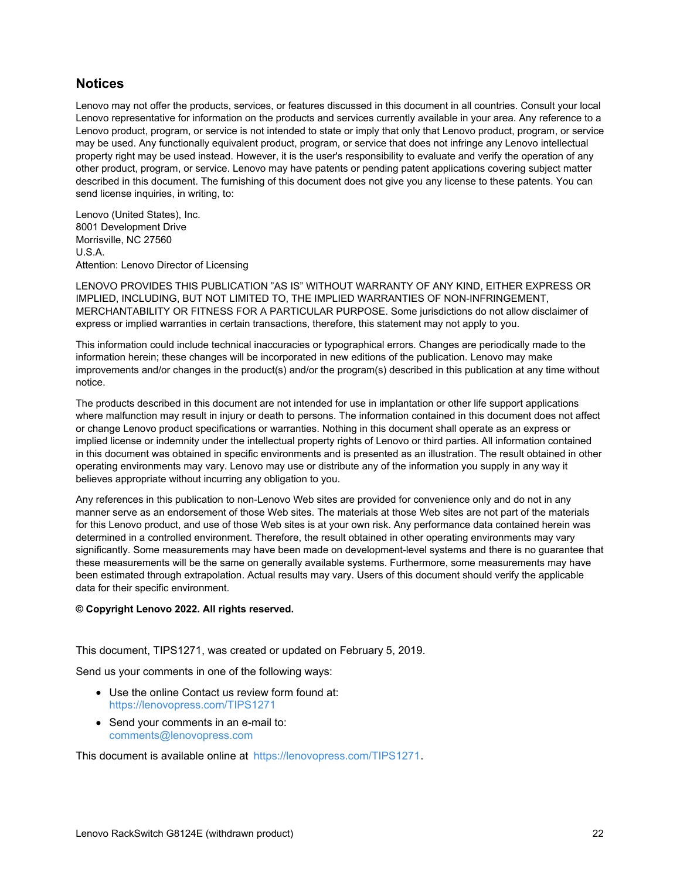## **Notices**

Lenovo may not offer the products, services, or features discussed in this document in all countries. Consult your local Lenovo representative for information on the products and services currently available in your area. Any reference to a Lenovo product, program, or service is not intended to state or imply that only that Lenovo product, program, or service may be used. Any functionally equivalent product, program, or service that does not infringe any Lenovo intellectual property right may be used instead. However, it is the user's responsibility to evaluate and verify the operation of any other product, program, or service. Lenovo may have patents or pending patent applications covering subject matter described in this document. The furnishing of this document does not give you any license to these patents. You can send license inquiries, in writing, to:

Lenovo (United States), Inc. 8001 Development Drive Morrisville, NC 27560 U.S.A. Attention: Lenovo Director of Licensing

LENOVO PROVIDES THIS PUBLICATION "AS IS" WITHOUT WARRANTY OF ANY KIND, EITHER EXPRESS OR IMPLIED, INCLUDING, BUT NOT LIMITED TO, THE IMPLIED WARRANTIES OF NON-INFRINGEMENT, MERCHANTABILITY OR FITNESS FOR A PARTICULAR PURPOSE. Some jurisdictions do not allow disclaimer of express or implied warranties in certain transactions, therefore, this statement may not apply to you.

This information could include technical inaccuracies or typographical errors. Changes are periodically made to the information herein; these changes will be incorporated in new editions of the publication. Lenovo may make improvements and/or changes in the product(s) and/or the program(s) described in this publication at any time without notice.

The products described in this document are not intended for use in implantation or other life support applications where malfunction may result in injury or death to persons. The information contained in this document does not affect or change Lenovo product specifications or warranties. Nothing in this document shall operate as an express or implied license or indemnity under the intellectual property rights of Lenovo or third parties. All information contained in this document was obtained in specific environments and is presented as an illustration. The result obtained in other operating environments may vary. Lenovo may use or distribute any of the information you supply in any way it believes appropriate without incurring any obligation to you.

Any references in this publication to non-Lenovo Web sites are provided for convenience only and do not in any manner serve as an endorsement of those Web sites. The materials at those Web sites are not part of the materials for this Lenovo product, and use of those Web sites is at your own risk. Any performance data contained herein was determined in a controlled environment. Therefore, the result obtained in other operating environments may vary significantly. Some measurements may have been made on development-level systems and there is no guarantee that these measurements will be the same on generally available systems. Furthermore, some measurements may have been estimated through extrapolation. Actual results may vary. Users of this document should verify the applicable data for their specific environment.

#### **© Copyright Lenovo 2022. All rights reserved.**

This document, TIPS1271, was created or updated on February 5, 2019.

Send us your comments in one of the following ways:

- Use the online Contact us review form found at: <https://lenovopress.com/TIPS1271>
- Send your comments in an e-mail to: [comments@lenovopress.com](mailto:comments@lenovopress.com?subject=Feedback for TIPS1271)

This document is available online at <https://lenovopress.com/TIPS1271>.